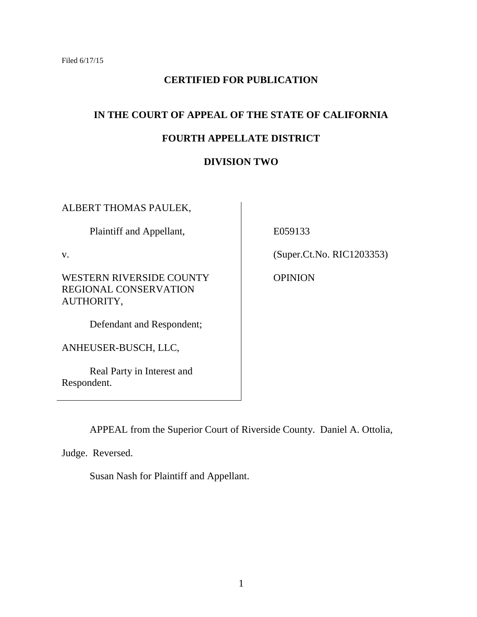# **CERTIFIED FOR PUBLICATION**

# **IN THE COURT OF APPEAL OF THE STATE OF CALIFORNIA**

# **FOURTH APPELLATE DISTRICT**

# **DIVISION TWO**

ALBERT THOMAS PAULEK,

Plaintiff and Appellant,

v.

WESTERN RIVERSIDE COUNTY REGIONAL CONSERVATION AUTHORITY,

Defendant and Respondent;

ANHEUSER-BUSCH, LLC,

Real Party in Interest and Respondent.

E059133

(Super.Ct.No. RIC1203353)

OPINION

APPEAL from the Superior Court of Riverside County. Daniel A. Ottolia,

Judge. Reversed.

Susan Nash for Plaintiff and Appellant.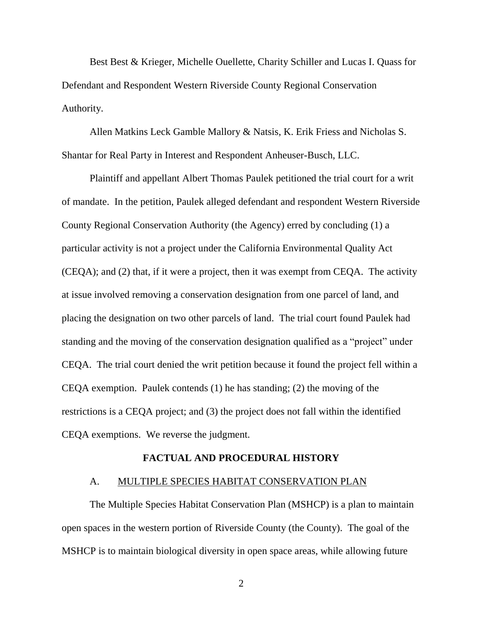Best Best & Krieger, Michelle Ouellette, Charity Schiller and Lucas I. Quass for Defendant and Respondent Western Riverside County Regional Conservation Authority.

Allen Matkins Leck Gamble Mallory & Natsis, K. Erik Friess and Nicholas S. Shantar for Real Party in Interest and Respondent Anheuser-Busch, LLC.

Plaintiff and appellant Albert Thomas Paulek petitioned the trial court for a writ of mandate. In the petition, Paulek alleged defendant and respondent Western Riverside County Regional Conservation Authority (the Agency) erred by concluding (1) a particular activity is not a project under the California Environmental Quality Act (CEQA); and (2) that, if it were a project, then it was exempt from CEQA. The activity at issue involved removing a conservation designation from one parcel of land, and placing the designation on two other parcels of land. The trial court found Paulek had standing and the moving of the conservation designation qualified as a "project" under CEQA. The trial court denied the writ petition because it found the project fell within a CEQA exemption. Paulek contends (1) he has standing; (2) the moving of the restrictions is a CEQA project; and (3) the project does not fall within the identified CEQA exemptions. We reverse the judgment.

## **FACTUAL AND PROCEDURAL HISTORY**

## A. MULTIPLE SPECIES HABITAT CONSERVATION PLAN

The Multiple Species Habitat Conservation Plan (MSHCP) is a plan to maintain open spaces in the western portion of Riverside County (the County). The goal of the MSHCP is to maintain biological diversity in open space areas, while allowing future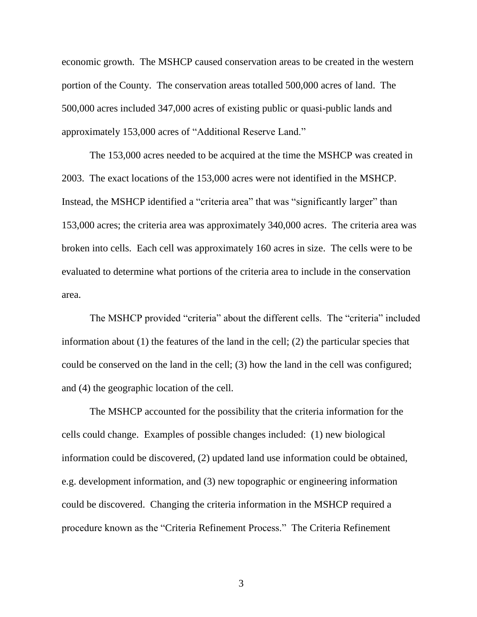economic growth. The MSHCP caused conservation areas to be created in the western portion of the County. The conservation areas totalled 500,000 acres of land. The 500,000 acres included 347,000 acres of existing public or quasi-public lands and approximately 153,000 acres of "Additional Reserve Land."

The 153,000 acres needed to be acquired at the time the MSHCP was created in 2003. The exact locations of the 153,000 acres were not identified in the MSHCP. Instead, the MSHCP identified a "criteria area" that was "significantly larger" than 153,000 acres; the criteria area was approximately 340,000 acres. The criteria area was broken into cells. Each cell was approximately 160 acres in size. The cells were to be evaluated to determine what portions of the criteria area to include in the conservation area.

The MSHCP provided "criteria" about the different cells. The "criteria" included information about (1) the features of the land in the cell; (2) the particular species that could be conserved on the land in the cell; (3) how the land in the cell was configured; and (4) the geographic location of the cell.

The MSHCP accounted for the possibility that the criteria information for the cells could change. Examples of possible changes included: (1) new biological information could be discovered, (2) updated land use information could be obtained, e.g. development information, and (3) new topographic or engineering information could be discovered. Changing the criteria information in the MSHCP required a procedure known as the "Criteria Refinement Process." The Criteria Refinement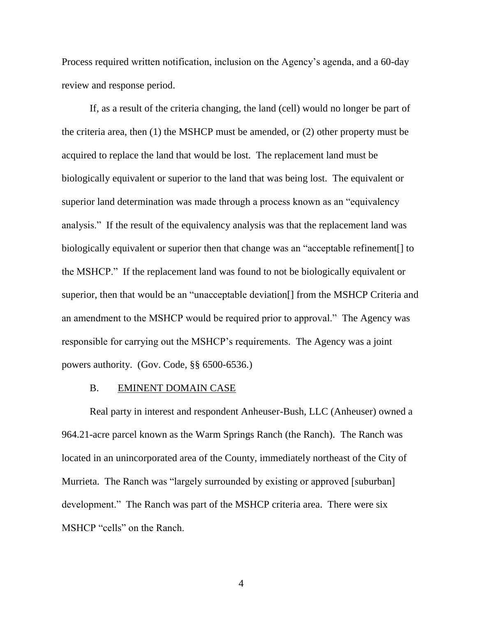Process required written notification, inclusion on the Agency's agenda, and a 60-day review and response period.

If, as a result of the criteria changing, the land (cell) would no longer be part of the criteria area, then (1) the MSHCP must be amended, or (2) other property must be acquired to replace the land that would be lost. The replacement land must be biologically equivalent or superior to the land that was being lost. The equivalent or superior land determination was made through a process known as an "equivalency analysis." If the result of the equivalency analysis was that the replacement land was biologically equivalent or superior then that change was an "acceptable refinement[] to the MSHCP." If the replacement land was found to not be biologically equivalent or superior, then that would be an "unacceptable deviation[] from the MSHCP Criteria and an amendment to the MSHCP would be required prior to approval." The Agency was responsible for carrying out the MSHCP's requirements. The Agency was a joint powers authority. (Gov. Code, §§ 6500-6536.)

#### B. EMINENT DOMAIN CASE

Real party in interest and respondent Anheuser-Bush, LLC (Anheuser) owned a 964.21-acre parcel known as the Warm Springs Ranch (the Ranch). The Ranch was located in an unincorporated area of the County, immediately northeast of the City of Murrieta. The Ranch was "largely surrounded by existing or approved [suburban] development." The Ranch was part of the MSHCP criteria area. There were six MSHCP "cells" on the Ranch.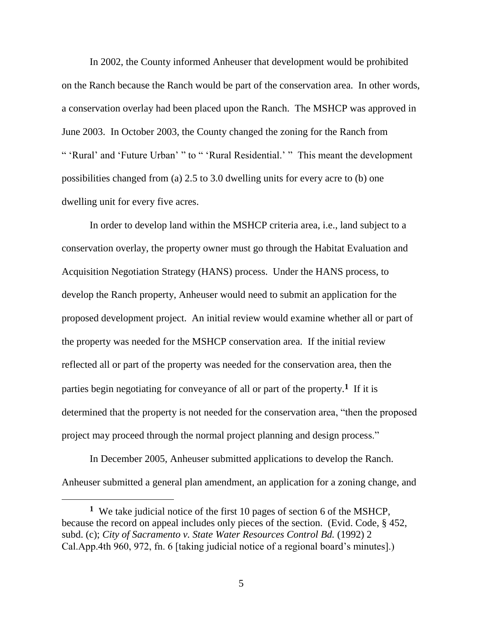In 2002, the County informed Anheuser that development would be prohibited on the Ranch because the Ranch would be part of the conservation area. In other words, a conservation overlay had been placed upon the Ranch. The MSHCP was approved in June 2003. In October 2003, the County changed the zoning for the Ranch from " 'Rural' and 'Future Urban' " to " 'Rural Residential.' " This meant the development possibilities changed from (a) 2.5 to 3.0 dwelling units for every acre to (b) one dwelling unit for every five acres.

In order to develop land within the MSHCP criteria area, i.e., land subject to a conservation overlay, the property owner must go through the Habitat Evaluation and Acquisition Negotiation Strategy (HANS) process. Under the HANS process, to develop the Ranch property, Anheuser would need to submit an application for the proposed development project. An initial review would examine whether all or part of the property was needed for the MSHCP conservation area. If the initial review reflected all or part of the property was needed for the conservation area, then the parties begin negotiating for conveyance of all or part of the property.**<sup>1</sup>** If it is determined that the property is not needed for the conservation area, "then the proposed project may proceed through the normal project planning and design process."

In December 2005, Anheuser submitted applications to develop the Ranch. Anheuser submitted a general plan amendment, an application for a zoning change, and

**<sup>1</sup>** We take judicial notice of the first 10 pages of section 6 of the MSHCP, because the record on appeal includes only pieces of the section. (Evid. Code, § 452, subd. (c); *City of Sacramento v. State Water Resources Control Bd.* (1992) 2 Cal.App.4th 960, 972, fn. 6 [taking judicial notice of a regional board's minutes].)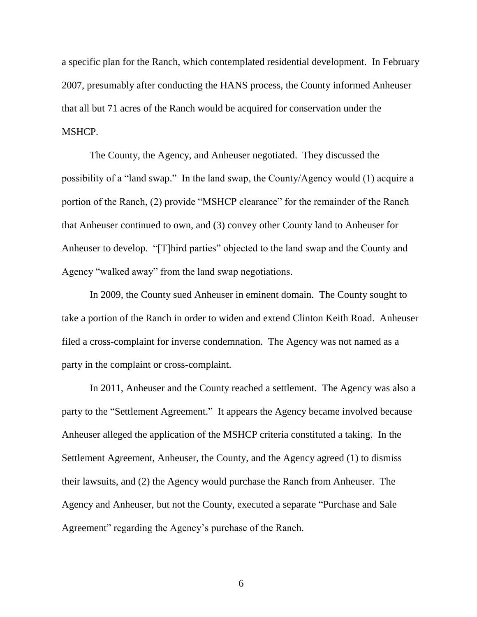a specific plan for the Ranch, which contemplated residential development. In February 2007, presumably after conducting the HANS process, the County informed Anheuser that all but 71 acres of the Ranch would be acquired for conservation under the MSHCP.

The County, the Agency, and Anheuser negotiated. They discussed the possibility of a "land swap." In the land swap, the County/Agency would (1) acquire a portion of the Ranch, (2) provide "MSHCP clearance" for the remainder of the Ranch that Anheuser continued to own, and (3) convey other County land to Anheuser for Anheuser to develop. "[T]hird parties" objected to the land swap and the County and Agency "walked away" from the land swap negotiations.

In 2009, the County sued Anheuser in eminent domain. The County sought to take a portion of the Ranch in order to widen and extend Clinton Keith Road. Anheuser filed a cross-complaint for inverse condemnation. The Agency was not named as a party in the complaint or cross-complaint.

In 2011, Anheuser and the County reached a settlement. The Agency was also a party to the "Settlement Agreement." It appears the Agency became involved because Anheuser alleged the application of the MSHCP criteria constituted a taking. In the Settlement Agreement, Anheuser, the County, and the Agency agreed (1) to dismiss their lawsuits, and (2) the Agency would purchase the Ranch from Anheuser. The Agency and Anheuser, but not the County, executed a separate "Purchase and Sale Agreement" regarding the Agency's purchase of the Ranch.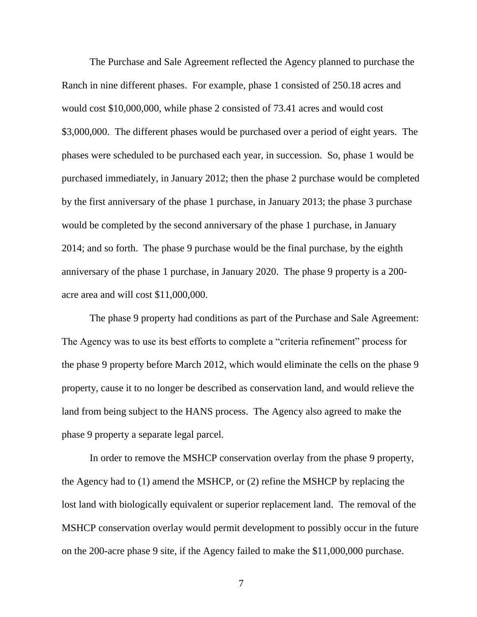The Purchase and Sale Agreement reflected the Agency planned to purchase the Ranch in nine different phases. For example, phase 1 consisted of 250.18 acres and would cost \$10,000,000, while phase 2 consisted of 73.41 acres and would cost \$3,000,000. The different phases would be purchased over a period of eight years. The phases were scheduled to be purchased each year, in succession. So, phase 1 would be purchased immediately, in January 2012; then the phase 2 purchase would be completed by the first anniversary of the phase 1 purchase, in January 2013; the phase 3 purchase would be completed by the second anniversary of the phase 1 purchase, in January 2014; and so forth. The phase 9 purchase would be the final purchase, by the eighth anniversary of the phase 1 purchase, in January 2020. The phase 9 property is a 200 acre area and will cost \$11,000,000.

The phase 9 property had conditions as part of the Purchase and Sale Agreement: The Agency was to use its best efforts to complete a "criteria refinement" process for the phase 9 property before March 2012, which would eliminate the cells on the phase 9 property, cause it to no longer be described as conservation land, and would relieve the land from being subject to the HANS process. The Agency also agreed to make the phase 9 property a separate legal parcel.

In order to remove the MSHCP conservation overlay from the phase 9 property, the Agency had to (1) amend the MSHCP, or (2) refine the MSHCP by replacing the lost land with biologically equivalent or superior replacement land. The removal of the MSHCP conservation overlay would permit development to possibly occur in the future on the 200-acre phase 9 site, if the Agency failed to make the \$11,000,000 purchase.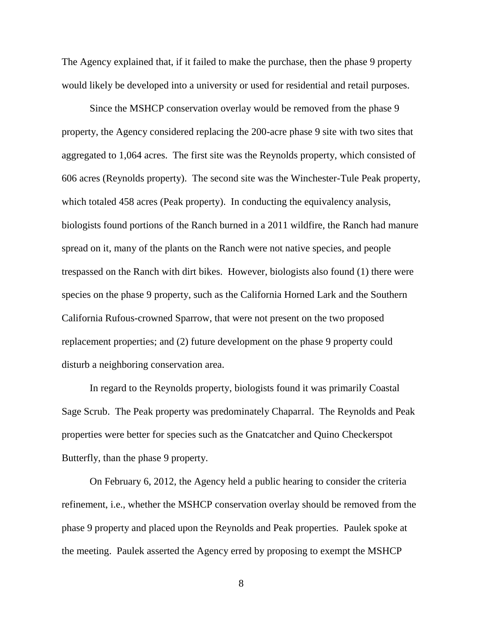The Agency explained that, if it failed to make the purchase, then the phase 9 property would likely be developed into a university or used for residential and retail purposes.

Since the MSHCP conservation overlay would be removed from the phase 9 property, the Agency considered replacing the 200-acre phase 9 site with two sites that aggregated to 1,064 acres. The first site was the Reynolds property, which consisted of 606 acres (Reynolds property). The second site was the Winchester-Tule Peak property, which totaled 458 acres (Peak property). In conducting the equivalency analysis, biologists found portions of the Ranch burned in a 2011 wildfire, the Ranch had manure spread on it, many of the plants on the Ranch were not native species, and people trespassed on the Ranch with dirt bikes. However, biologists also found (1) there were species on the phase 9 property, such as the California Horned Lark and the Southern California Rufous-crowned Sparrow, that were not present on the two proposed replacement properties; and (2) future development on the phase 9 property could disturb a neighboring conservation area.

In regard to the Reynolds property, biologists found it was primarily Coastal Sage Scrub. The Peak property was predominately Chaparral. The Reynolds and Peak properties were better for species such as the Gnatcatcher and Quino Checkerspot Butterfly, than the phase 9 property.

On February 6, 2012, the Agency held a public hearing to consider the criteria refinement, i.e., whether the MSHCP conservation overlay should be removed from the phase 9 property and placed upon the Reynolds and Peak properties. Paulek spoke at the meeting. Paulek asserted the Agency erred by proposing to exempt the MSHCP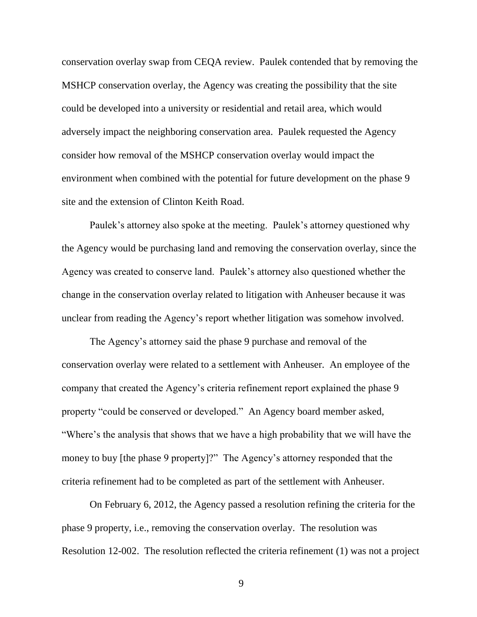conservation overlay swap from CEQA review. Paulek contended that by removing the MSHCP conservation overlay, the Agency was creating the possibility that the site could be developed into a university or residential and retail area, which would adversely impact the neighboring conservation area. Paulek requested the Agency consider how removal of the MSHCP conservation overlay would impact the environment when combined with the potential for future development on the phase 9 site and the extension of Clinton Keith Road.

Paulek's attorney also spoke at the meeting. Paulek's attorney questioned why the Agency would be purchasing land and removing the conservation overlay, since the Agency was created to conserve land. Paulek's attorney also questioned whether the change in the conservation overlay related to litigation with Anheuser because it was unclear from reading the Agency's report whether litigation was somehow involved.

The Agency's attorney said the phase 9 purchase and removal of the conservation overlay were related to a settlement with Anheuser. An employee of the company that created the Agency's criteria refinement report explained the phase 9 property "could be conserved or developed." An Agency board member asked, "Where's the analysis that shows that we have a high probability that we will have the money to buy [the phase 9 property]?" The Agency's attorney responded that the criteria refinement had to be completed as part of the settlement with Anheuser.

On February 6, 2012, the Agency passed a resolution refining the criteria for the phase 9 property, i.e., removing the conservation overlay. The resolution was Resolution 12-002. The resolution reflected the criteria refinement (1) was not a project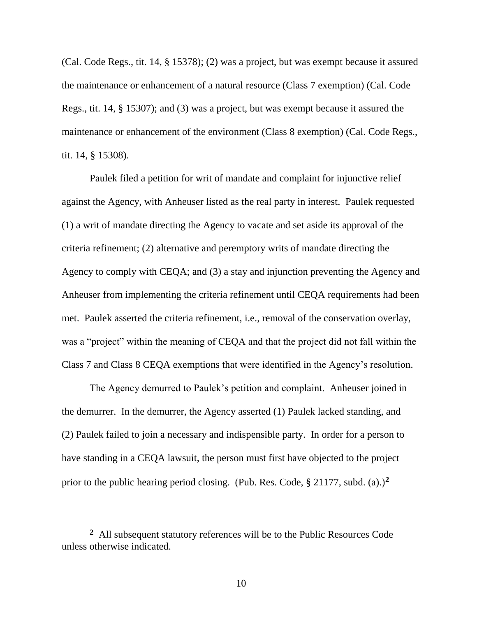(Cal. Code Regs., tit. 14, § 15378); (2) was a project, but was exempt because it assured the maintenance or enhancement of a natural resource (Class 7 exemption) (Cal. Code Regs., tit. 14, § 15307); and (3) was a project, but was exempt because it assured the maintenance or enhancement of the environment (Class 8 exemption) (Cal. Code Regs., tit. 14, § 15308).

Paulek filed a petition for writ of mandate and complaint for injunctive relief against the Agency, with Anheuser listed as the real party in interest. Paulek requested (1) a writ of mandate directing the Agency to vacate and set aside its approval of the criteria refinement; (2) alternative and peremptory writs of mandate directing the Agency to comply with CEQA; and (3) a stay and injunction preventing the Agency and Anheuser from implementing the criteria refinement until CEQA requirements had been met. Paulek asserted the criteria refinement, i.e., removal of the conservation overlay, was a "project" within the meaning of CEQA and that the project did not fall within the Class 7 and Class 8 CEQA exemptions that were identified in the Agency's resolution.

The Agency demurred to Paulek's petition and complaint. Anheuser joined in the demurrer. In the demurrer, the Agency asserted (1) Paulek lacked standing, and (2) Paulek failed to join a necessary and indispensible party. In order for a person to have standing in a CEQA lawsuit, the person must first have objected to the project prior to the public hearing period closing. (Pub. Res. Code, § 21177, subd. (a).)**<sup>2</sup>**

 $\overline{a}$ 

**<sup>2</sup>** All subsequent statutory references will be to the Public Resources Code unless otherwise indicated.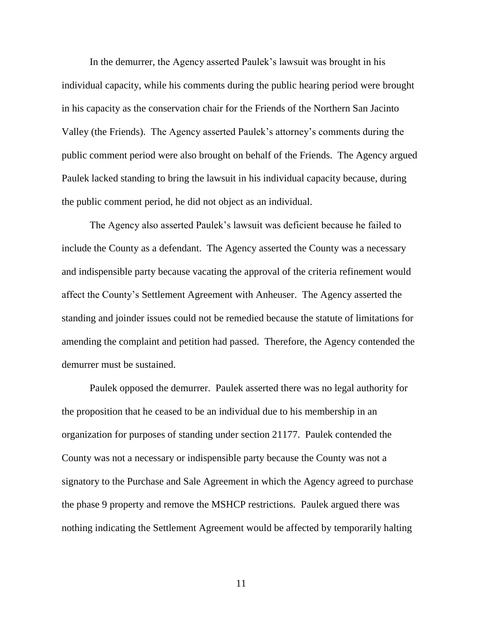In the demurrer, the Agency asserted Paulek's lawsuit was brought in his individual capacity, while his comments during the public hearing period were brought in his capacity as the conservation chair for the Friends of the Northern San Jacinto Valley (the Friends). The Agency asserted Paulek's attorney's comments during the public comment period were also brought on behalf of the Friends. The Agency argued Paulek lacked standing to bring the lawsuit in his individual capacity because, during the public comment period, he did not object as an individual.

The Agency also asserted Paulek's lawsuit was deficient because he failed to include the County as a defendant. The Agency asserted the County was a necessary and indispensible party because vacating the approval of the criteria refinement would affect the County's Settlement Agreement with Anheuser. The Agency asserted the standing and joinder issues could not be remedied because the statute of limitations for amending the complaint and petition had passed. Therefore, the Agency contended the demurrer must be sustained.

Paulek opposed the demurrer. Paulek asserted there was no legal authority for the proposition that he ceased to be an individual due to his membership in an organization for purposes of standing under section 21177. Paulek contended the County was not a necessary or indispensible party because the County was not a signatory to the Purchase and Sale Agreement in which the Agency agreed to purchase the phase 9 property and remove the MSHCP restrictions. Paulek argued there was nothing indicating the Settlement Agreement would be affected by temporarily halting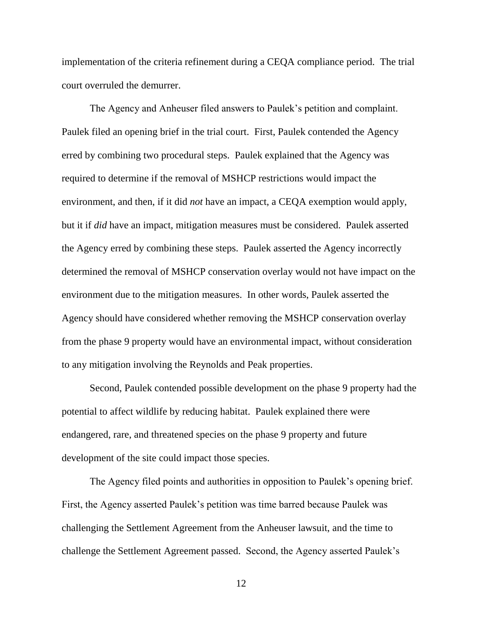implementation of the criteria refinement during a CEQA compliance period. The trial court overruled the demurrer.

The Agency and Anheuser filed answers to Paulek's petition and complaint. Paulek filed an opening brief in the trial court. First, Paulek contended the Agency erred by combining two procedural steps. Paulek explained that the Agency was required to determine if the removal of MSHCP restrictions would impact the environment, and then, if it did *not* have an impact, a CEQA exemption would apply, but it if *did* have an impact, mitigation measures must be considered. Paulek asserted the Agency erred by combining these steps. Paulek asserted the Agency incorrectly determined the removal of MSHCP conservation overlay would not have impact on the environment due to the mitigation measures. In other words, Paulek asserted the Agency should have considered whether removing the MSHCP conservation overlay from the phase 9 property would have an environmental impact, without consideration to any mitigation involving the Reynolds and Peak properties.

Second, Paulek contended possible development on the phase 9 property had the potential to affect wildlife by reducing habitat. Paulek explained there were endangered, rare, and threatened species on the phase 9 property and future development of the site could impact those species.

The Agency filed points and authorities in opposition to Paulek's opening brief. First, the Agency asserted Paulek's petition was time barred because Paulek was challenging the Settlement Agreement from the Anheuser lawsuit, and the time to challenge the Settlement Agreement passed. Second, the Agency asserted Paulek's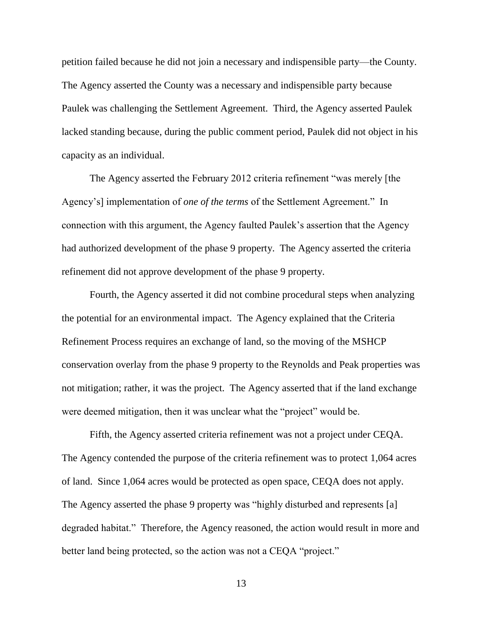petition failed because he did not join a necessary and indispensible party—the County. The Agency asserted the County was a necessary and indispensible party because Paulek was challenging the Settlement Agreement. Third, the Agency asserted Paulek lacked standing because, during the public comment period, Paulek did not object in his capacity as an individual.

The Agency asserted the February 2012 criteria refinement "was merely [the Agency's] implementation of *one of the terms* of the Settlement Agreement." In connection with this argument, the Agency faulted Paulek's assertion that the Agency had authorized development of the phase 9 property. The Agency asserted the criteria refinement did not approve development of the phase 9 property.

Fourth, the Agency asserted it did not combine procedural steps when analyzing the potential for an environmental impact. The Agency explained that the Criteria Refinement Process requires an exchange of land, so the moving of the MSHCP conservation overlay from the phase 9 property to the Reynolds and Peak properties was not mitigation; rather, it was the project. The Agency asserted that if the land exchange were deemed mitigation, then it was unclear what the "project" would be.

Fifth, the Agency asserted criteria refinement was not a project under CEQA. The Agency contended the purpose of the criteria refinement was to protect 1,064 acres of land. Since 1,064 acres would be protected as open space, CEQA does not apply. The Agency asserted the phase 9 property was "highly disturbed and represents [a] degraded habitat." Therefore, the Agency reasoned, the action would result in more and better land being protected, so the action was not a CEQA "project."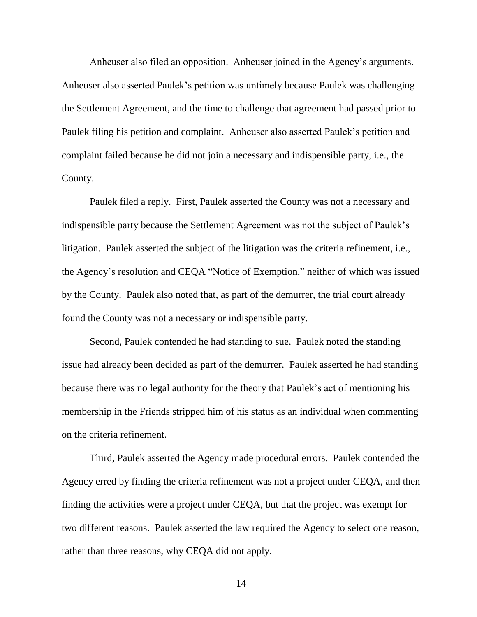Anheuser also filed an opposition. Anheuser joined in the Agency's arguments. Anheuser also asserted Paulek's petition was untimely because Paulek was challenging the Settlement Agreement, and the time to challenge that agreement had passed prior to Paulek filing his petition and complaint. Anheuser also asserted Paulek's petition and complaint failed because he did not join a necessary and indispensible party, i.e., the County.

Paulek filed a reply. First, Paulek asserted the County was not a necessary and indispensible party because the Settlement Agreement was not the subject of Paulek's litigation. Paulek asserted the subject of the litigation was the criteria refinement, i.e., the Agency's resolution and CEQA "Notice of Exemption," neither of which was issued by the County. Paulek also noted that, as part of the demurrer, the trial court already found the County was not a necessary or indispensible party.

Second, Paulek contended he had standing to sue. Paulek noted the standing issue had already been decided as part of the demurrer. Paulek asserted he had standing because there was no legal authority for the theory that Paulek's act of mentioning his membership in the Friends stripped him of his status as an individual when commenting on the criteria refinement.

Third, Paulek asserted the Agency made procedural errors. Paulek contended the Agency erred by finding the criteria refinement was not a project under CEQA, and then finding the activities were a project under CEQA, but that the project was exempt for two different reasons. Paulek asserted the law required the Agency to select one reason, rather than three reasons, why CEQA did not apply.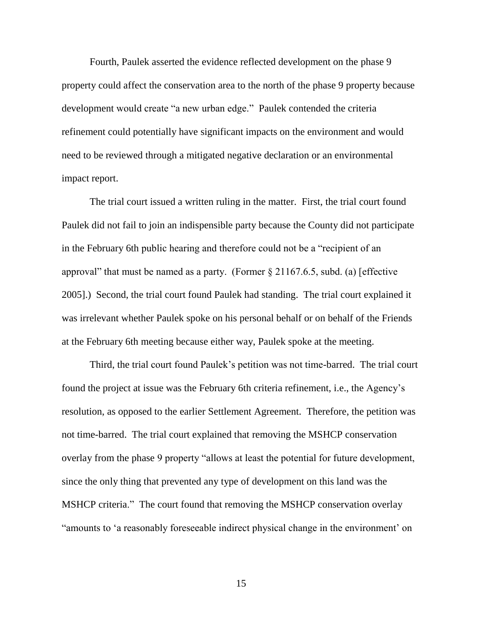Fourth, Paulek asserted the evidence reflected development on the phase 9 property could affect the conservation area to the north of the phase 9 property because development would create "a new urban edge." Paulek contended the criteria refinement could potentially have significant impacts on the environment and would need to be reviewed through a mitigated negative declaration or an environmental impact report.

The trial court issued a written ruling in the matter. First, the trial court found Paulek did not fail to join an indispensible party because the County did not participate in the February 6th public hearing and therefore could not be a "recipient of an approval" that must be named as a party. (Former  $\S 21167.6.5$ , subd. (a) [effective 2005].) Second, the trial court found Paulek had standing. The trial court explained it was irrelevant whether Paulek spoke on his personal behalf or on behalf of the Friends at the February 6th meeting because either way, Paulek spoke at the meeting.

Third, the trial court found Paulek's petition was not time-barred. The trial court found the project at issue was the February 6th criteria refinement, i.e., the Agency's resolution, as opposed to the earlier Settlement Agreement. Therefore, the petition was not time-barred. The trial court explained that removing the MSHCP conservation overlay from the phase 9 property "allows at least the potential for future development, since the only thing that prevented any type of development on this land was the MSHCP criteria." The court found that removing the MSHCP conservation overlay "amounts to 'a reasonably foreseeable indirect physical change in the environment' on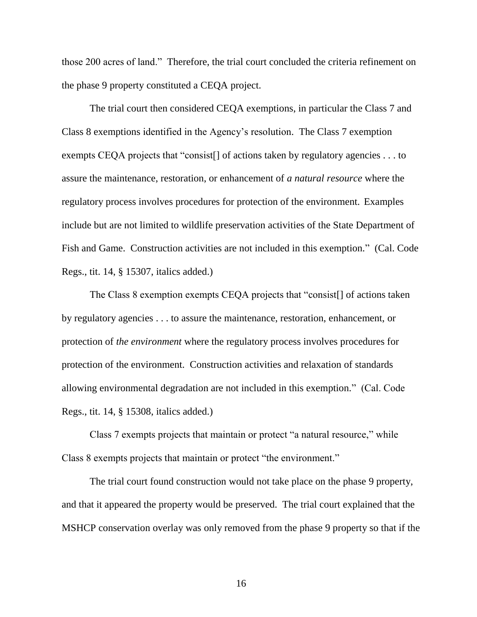those 200 acres of land." Therefore, the trial court concluded the criteria refinement on the phase 9 property constituted a CEQA project.

The trial court then considered CEQA exemptions, in particular the Class 7 and Class 8 exemptions identified in the Agency's resolution. The Class 7 exemption exempts CEQA projects that "consist<sup>[]</sup> of actions taken by regulatory agencies . . . to assure the maintenance, restoration, or enhancement of *a natural resource* where the regulatory process involves procedures for protection of the environment. Examples include but are not limited to wildlife preservation activities of the State Department of Fish and Game. Construction activities are not included in this exemption." (Cal. Code Regs., tit. 14, § 15307, italics added.)

The Class 8 exemption exempts CEQA projects that "consist[] of actions taken by regulatory agencies . . . to assure the maintenance, restoration, enhancement, or protection of *the environment* where the regulatory process involves procedures for protection of the environment. Construction activities and relaxation of standards allowing environmental degradation are not included in this exemption." (Cal. Code Regs., tit. 14, § 15308, italics added.)

Class 7 exempts projects that maintain or protect "a natural resource," while Class 8 exempts projects that maintain or protect "the environment."

The trial court found construction would not take place on the phase 9 property, and that it appeared the property would be preserved. The trial court explained that the MSHCP conservation overlay was only removed from the phase 9 property so that if the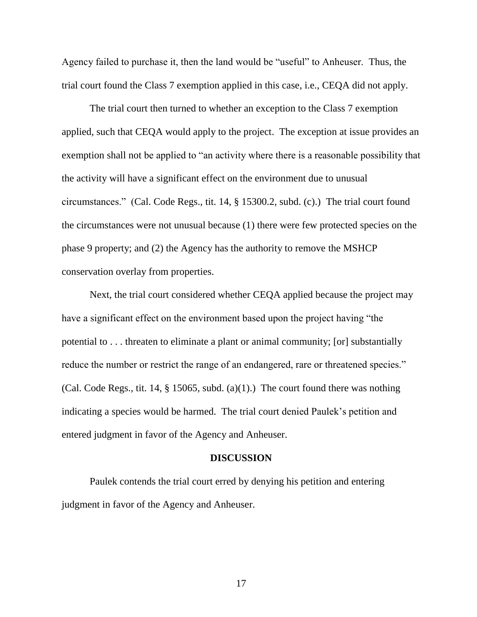Agency failed to purchase it, then the land would be "useful" to Anheuser. Thus, the trial court found the Class 7 exemption applied in this case, i.e., CEQA did not apply.

The trial court then turned to whether an exception to the Class 7 exemption applied, such that CEQA would apply to the project. The exception at issue provides an exemption shall not be applied to "an activity where there is a reasonable possibility that the activity will have a significant effect on the environment due to unusual circumstances." (Cal. Code Regs., tit. 14, § 15300.2, subd. (c).) The trial court found the circumstances were not unusual because (1) there were few protected species on the phase 9 property; and (2) the Agency has the authority to remove the MSHCP conservation overlay from properties.

Next, the trial court considered whether CEQA applied because the project may have a significant effect on the environment based upon the project having "the potential to . . . threaten to eliminate a plant or animal community; [or] substantially reduce the number or restrict the range of an endangered, rare or threatened species." (Cal. Code Regs., tit. 14,  $\S$  15065, subd. (a)(1).) The court found there was nothing indicating a species would be harmed. The trial court denied Paulek's petition and entered judgment in favor of the Agency and Anheuser.

# **DISCUSSION**

Paulek contends the trial court erred by denying his petition and entering judgment in favor of the Agency and Anheuser.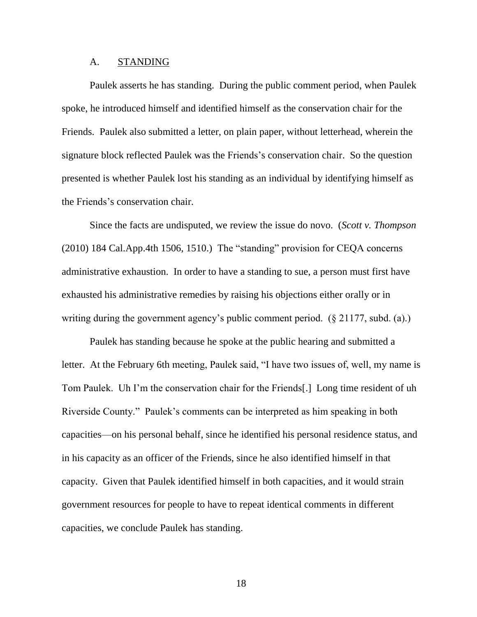## A. STANDING

Paulek asserts he has standing. During the public comment period, when Paulek spoke, he introduced himself and identified himself as the conservation chair for the Friends. Paulek also submitted a letter, on plain paper, without letterhead, wherein the signature block reflected Paulek was the Friends's conservation chair. So the question presented is whether Paulek lost his standing as an individual by identifying himself as the Friends's conservation chair.

Since the facts are undisputed, we review the issue do novo. (*Scott v. Thompson* (2010) 184 Cal.App.4th 1506, 1510.) The "standing" provision for CEQA concerns administrative exhaustion. In order to have a standing to sue, a person must first have exhausted his administrative remedies by raising his objections either orally or in writing during the government agency's public comment period. (§ 21177, subd. (a).)

Paulek has standing because he spoke at the public hearing and submitted a letter. At the February 6th meeting, Paulek said, "I have two issues of, well, my name is Tom Paulek. Uh I'm the conservation chair for the Friends[.] Long time resident of uh Riverside County." Paulek's comments can be interpreted as him speaking in both capacities—on his personal behalf, since he identified his personal residence status, and in his capacity as an officer of the Friends, since he also identified himself in that capacity. Given that Paulek identified himself in both capacities, and it would strain government resources for people to have to repeat identical comments in different capacities, we conclude Paulek has standing.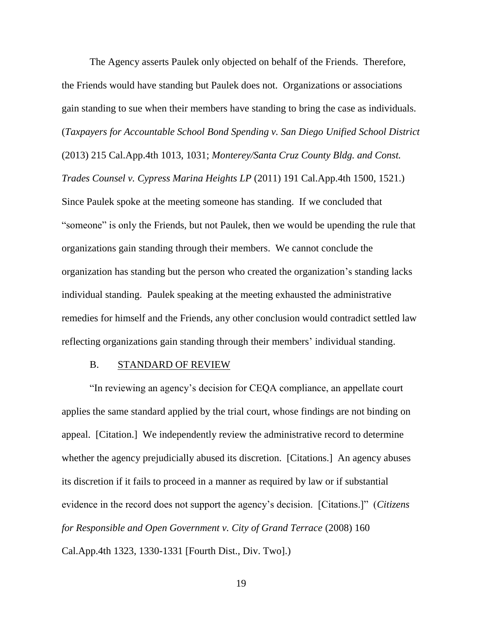The Agency asserts Paulek only objected on behalf of the Friends. Therefore, the Friends would have standing but Paulek does not. Organizations or associations gain standing to sue when their members have standing to bring the case as individuals. (*Taxpayers for Accountable School Bond Spending v. San Diego Unified School District* (2013) 215 Cal.App.4th 1013, 1031; *Monterey/Santa Cruz County Bldg. and Const. Trades Counsel v. Cypress Marina Heights LP* (2011) 191 Cal.App.4th 1500, 1521.) Since Paulek spoke at the meeting someone has standing. If we concluded that "someone" is only the Friends, but not Paulek, then we would be upending the rule that organizations gain standing through their members. We cannot conclude the organization has standing but the person who created the organization's standing lacks individual standing. Paulek speaking at the meeting exhausted the administrative remedies for himself and the Friends, any other conclusion would contradict settled law reflecting organizations gain standing through their members' individual standing.

## B. STANDARD OF REVIEW

"In reviewing an agency's decision for CEQA compliance, an appellate court applies the same standard applied by the trial court, whose findings are not binding on appeal. [Citation.] We independently review the administrative record to determine whether the agency prejudicially abused its discretion. [Citations.] An agency abuses its discretion if it fails to proceed in a manner as required by law or if substantial evidence in the record does not support the agency's decision. [Citations.]" (*Citizens for Responsible and Open Government v. City of Grand Terrace* (2008) 160 Cal.App.4th 1323, 1330-1331 [Fourth Dist., Div. Two].)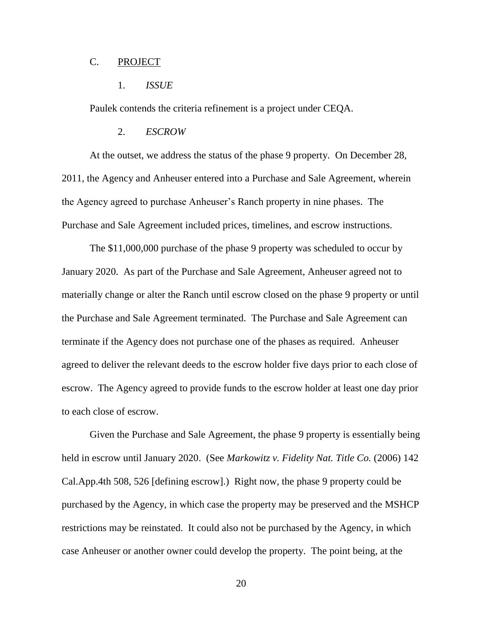# C. PROJECT

#### 1. *ISSUE*

Paulek contends the criteria refinement is a project under CEQA.

#### 2. *ESCROW*

At the outset, we address the status of the phase 9 property. On December 28, 2011, the Agency and Anheuser entered into a Purchase and Sale Agreement, wherein the Agency agreed to purchase Anheuser's Ranch property in nine phases. The Purchase and Sale Agreement included prices, timelines, and escrow instructions.

The \$11,000,000 purchase of the phase 9 property was scheduled to occur by January 2020. As part of the Purchase and Sale Agreement, Anheuser agreed not to materially change or alter the Ranch until escrow closed on the phase 9 property or until the Purchase and Sale Agreement terminated. The Purchase and Sale Agreement can terminate if the Agency does not purchase one of the phases as required. Anheuser agreed to deliver the relevant deeds to the escrow holder five days prior to each close of escrow. The Agency agreed to provide funds to the escrow holder at least one day prior to each close of escrow.

Given the Purchase and Sale Agreement, the phase 9 property is essentially being held in escrow until January 2020. (See *Markowitz v. Fidelity Nat. Title Co.* (2006) 142 Cal.App.4th 508, 526 [defining escrow].) Right now, the phase 9 property could be purchased by the Agency, in which case the property may be preserved and the MSHCP restrictions may be reinstated. It could also not be purchased by the Agency, in which case Anheuser or another owner could develop the property. The point being, at the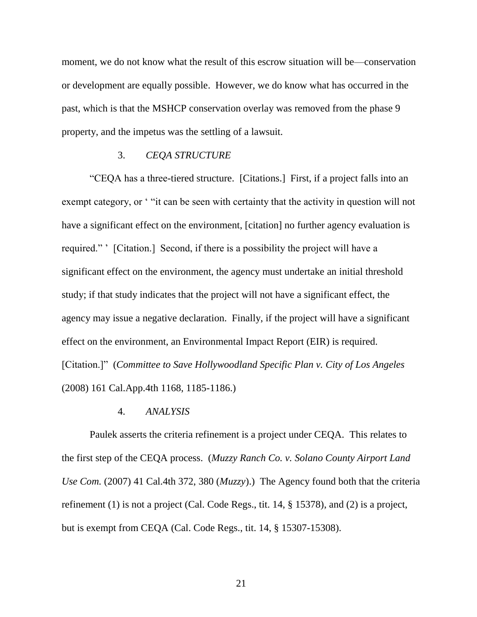moment, we do not know what the result of this escrow situation will be—conservation or development are equally possible. However, we do know what has occurred in the past, which is that the MSHCP conservation overlay was removed from the phase 9 property, and the impetus was the settling of a lawsuit.

#### 3. *CEQA STRUCTURE*

"CEQA has a three-tiered structure. [Citations.] First, if a project falls into an exempt category, or "it can be seen with certainty that the activity in question will not have a significant effect on the environment, [citation] no further agency evaluation is required." ' [Citation.] Second, if there is a possibility the project will have a significant effect on the environment, the agency must undertake an initial threshold study; if that study indicates that the project will not have a significant effect, the agency may issue a negative declaration. Finally, if the project will have a significant effect on the environment, an Environmental Impact Report (EIR) is required. [Citation.]" (*Committee to Save Hollywoodland Specific Plan v. City of Los Angeles* (2008) 161 Cal.App.4th 1168, 1185-1186.)

# 4. *ANALYSIS*

Paulek asserts the criteria refinement is a project under CEQA. This relates to the first step of the CEQA process. (*Muzzy Ranch Co. v. Solano County Airport Land Use Com.* (2007) 41 Cal.4th 372, 380 (*Muzzy*).) The Agency found both that the criteria refinement (1) is not a project (Cal. Code Regs., tit. 14, § 15378), and (2) is a project, but is exempt from CEQA (Cal. Code Regs., tit. 14, § 15307-15308).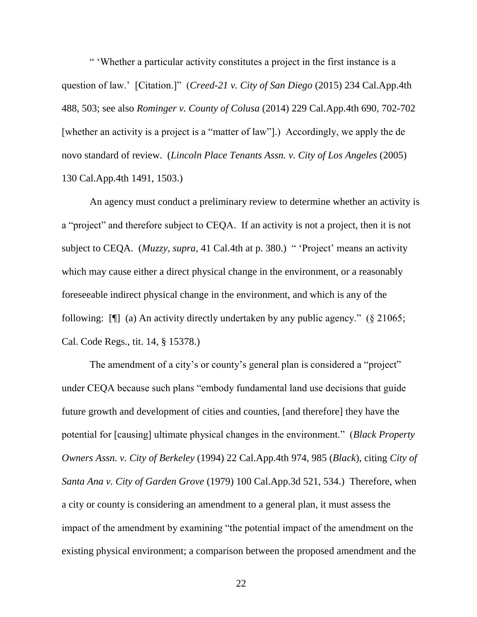" 'Whether a particular activity constitutes a project in the first instance is a question of law.' [Citation.]" (*Creed-21 v. City of San Diego* (2015) 234 Cal.App.4th 488, 503; see also *Rominger v. County of Colusa* (2014) 229 Cal.App.4th 690, 702-702 [whether an activity is a project is a "matter of law"].) Accordingly, we apply the de novo standard of review. (*Lincoln Place Tenants Assn. v. City of Los Angeles* (2005) 130 Cal.App.4th 1491, 1503.)

An agency must conduct a preliminary review to determine whether an activity is a "project" and therefore subject to CEQA. If an activity is not a project, then it is not subject to CEQA. (*Muzzy*, *supra*, 41 Cal.4th at p. 380.) " 'Project' means an activity which may cause either a direct physical change in the environment, or a reasonably foreseeable indirect physical change in the environment, and which is any of the following: [¶] (a) An activity directly undertaken by any public agency." (§ 21065; Cal. Code Regs., tit. 14, § 15378.)

The amendment of a city's or county's general plan is considered a "project" under CEQA because such plans "embody fundamental land use decisions that guide future growth and development of cities and counties, [and therefore] they have the potential for [causing] ultimate physical changes in the environment." (*Black Property Owners Assn. v. City of Berkeley* (1994) 22 Cal.App.4th 974, 985 (*Black*), citing *City of Santa Ana v. City of Garden Grove* (1979) 100 Cal.App.3d 521, 534.) Therefore, when a city or county is considering an amendment to a general plan, it must assess the impact of the amendment by examining "the potential impact of the amendment on the existing physical environment; a comparison between the proposed amendment and the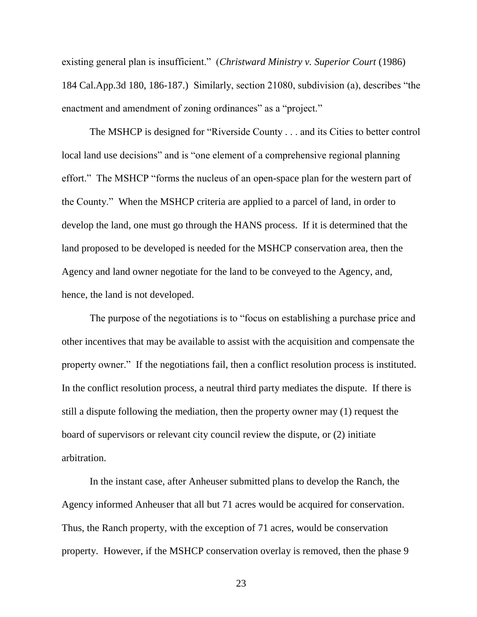existing general plan is insufficient." (*Christward Ministry v. Superior Court* (1986) 184 Cal.App.3d 180, 186-187.) Similarly, section 21080, subdivision (a), describes "the enactment and amendment of zoning ordinances" as a "project."

The MSHCP is designed for "Riverside County . . . and its Cities to better control local land use decisions" and is "one element of a comprehensive regional planning effort." The MSHCP "forms the nucleus of an open-space plan for the western part of the County." When the MSHCP criteria are applied to a parcel of land, in order to develop the land, one must go through the HANS process. If it is determined that the land proposed to be developed is needed for the MSHCP conservation area, then the Agency and land owner negotiate for the land to be conveyed to the Agency, and, hence, the land is not developed.

The purpose of the negotiations is to "focus on establishing a purchase price and other incentives that may be available to assist with the acquisition and compensate the property owner." If the negotiations fail, then a conflict resolution process is instituted. In the conflict resolution process, a neutral third party mediates the dispute. If there is still a dispute following the mediation, then the property owner may (1) request the board of supervisors or relevant city council review the dispute, or (2) initiate arbitration.

In the instant case, after Anheuser submitted plans to develop the Ranch, the Agency informed Anheuser that all but 71 acres would be acquired for conservation. Thus, the Ranch property, with the exception of 71 acres, would be conservation property. However, if the MSHCP conservation overlay is removed, then the phase 9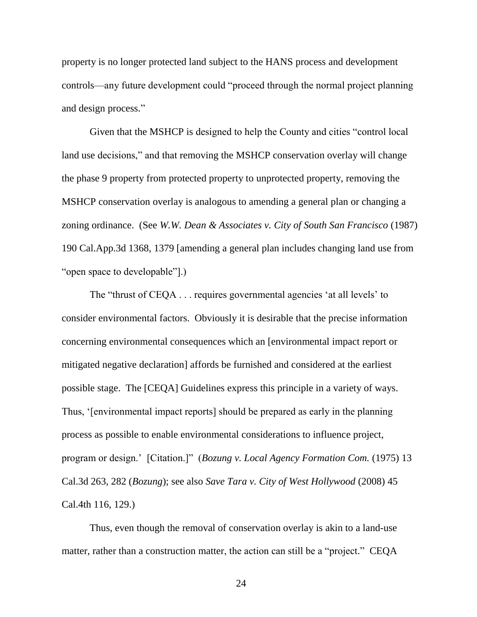property is no longer protected land subject to the HANS process and development controls—any future development could "proceed through the normal project planning and design process."

Given that the MSHCP is designed to help the County and cities "control local land use decisions," and that removing the MSHCP conservation overlay will change the phase 9 property from protected property to unprotected property, removing the MSHCP conservation overlay is analogous to amending a general plan or changing a zoning ordinance. (See *W.W. Dean & Associates v. City of South San Francisco* (1987) 190 Cal.App.3d 1368, 1379 [amending a general plan includes changing land use from "open space to developable"].)

The "thrust of CEQA . . . requires governmental agencies 'at all levels' to consider environmental factors. Obviously it is desirable that the precise information concerning environmental consequences which an [environmental impact report or mitigated negative declaration] affords be furnished and considered at the earliest possible stage. The [CEQA] Guidelines express this principle in a variety of ways. Thus, '[environmental impact reports] should be prepared as early in the planning process as possible to enable environmental considerations to influence project, program or design.' [Citation.]" (*Bozung v. Local Agency Formation Com.* (1975) 13 Cal.3d 263, 282 (*Bozung*); see also *Save Tara v. City of West Hollywood* (2008) 45 Cal.4th 116, 129.)

Thus, even though the removal of conservation overlay is akin to a land-use matter, rather than a construction matter, the action can still be a "project." CEQA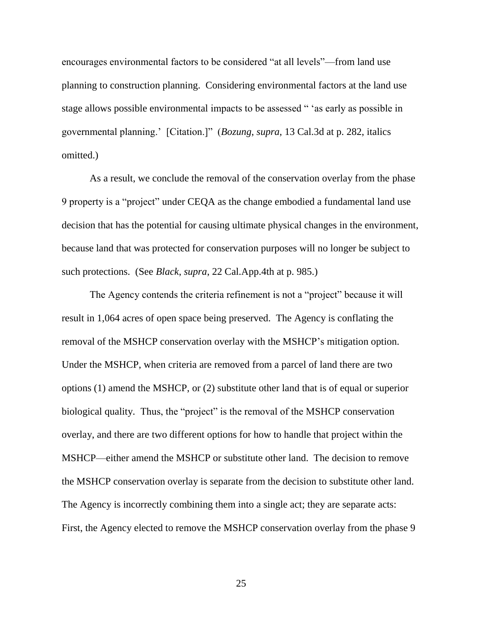encourages environmental factors to be considered "at all levels"—from land use planning to construction planning. Considering environmental factors at the land use stage allows possible environmental impacts to be assessed " 'as early as possible in governmental planning.' [Citation.]" (*Bozung*, *supra*, 13 Cal.3d at p. 282, italics omitted.)

As a result, we conclude the removal of the conservation overlay from the phase 9 property is a "project" under CEQA as the change embodied a fundamental land use decision that has the potential for causing ultimate physical changes in the environment, because land that was protected for conservation purposes will no longer be subject to such protections. (See *Black*, *supra*, 22 Cal.App.4th at p. 985.)

The Agency contends the criteria refinement is not a "project" because it will result in 1,064 acres of open space being preserved. The Agency is conflating the removal of the MSHCP conservation overlay with the MSHCP's mitigation option. Under the MSHCP, when criteria are removed from a parcel of land there are two options (1) amend the MSHCP, or (2) substitute other land that is of equal or superior biological quality. Thus, the "project" is the removal of the MSHCP conservation overlay, and there are two different options for how to handle that project within the MSHCP—either amend the MSHCP or substitute other land. The decision to remove the MSHCP conservation overlay is separate from the decision to substitute other land. The Agency is incorrectly combining them into a single act; they are separate acts: First, the Agency elected to remove the MSHCP conservation overlay from the phase 9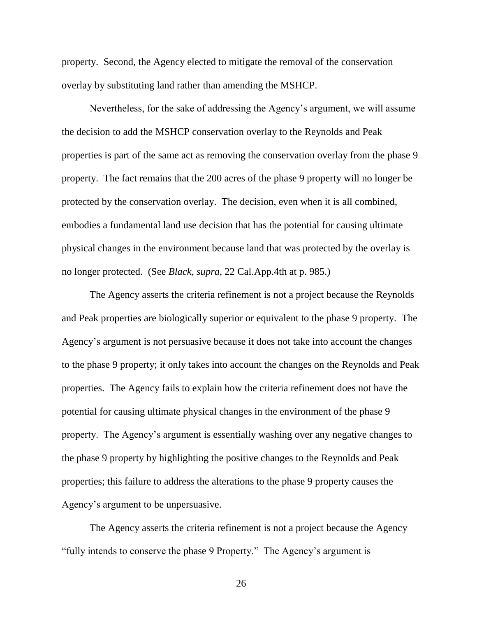property. Second, the Agency elected to mitigate the removal of the conservation overlay by substituting land rather than amending the MSHCP.

Nevertheless, for the sake of addressing the Agency's argument, we will assume the decision to add the MSHCP conservation overlay to the Reynolds and Peak properties is part of the same act as removing the conservation overlay from the phase 9 property. The fact remains that the 200 acres of the phase 9 property will no longer be protected by the conservation overlay. The decision, even when it is all combined, embodies a fundamental land use decision that has the potential for causing ultimate physical changes in the environment because land that was protected by the overlay is no longer protected. (See *Black*, *supra*, 22 Cal.App.4th at p. 985.)

The Agency asserts the criteria refinement is not a project because the Reynolds and Peak properties are biologically superior or equivalent to the phase 9 property. The Agency's argument is not persuasive because it does not take into account the changes to the phase 9 property; it only takes into account the changes on the Reynolds and Peak properties. The Agency fails to explain how the criteria refinement does not have the potential for causing ultimate physical changes in the environment of the phase 9 property. The Agency's argument is essentially washing over any negative changes to the phase 9 property by highlighting the positive changes to the Reynolds and Peak properties; this failure to address the alterations to the phase 9 property causes the Agency's argument to be unpersuasive.

The Agency asserts the criteria refinement is not a project because the Agency "fully intends to conserve the phase 9 Property." The Agency's argument is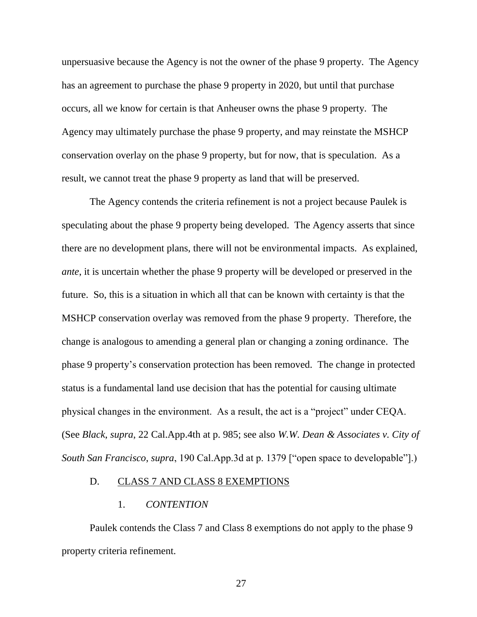unpersuasive because the Agency is not the owner of the phase 9 property. The Agency has an agreement to purchase the phase 9 property in 2020, but until that purchase occurs, all we know for certain is that Anheuser owns the phase 9 property. The Agency may ultimately purchase the phase 9 property, and may reinstate the MSHCP conservation overlay on the phase 9 property, but for now, that is speculation. As a result, we cannot treat the phase 9 property as land that will be preserved.

The Agency contends the criteria refinement is not a project because Paulek is speculating about the phase 9 property being developed. The Agency asserts that since there are no development plans, there will not be environmental impacts. As explained, *ante*, it is uncertain whether the phase 9 property will be developed or preserved in the future. So, this is a situation in which all that can be known with certainty is that the MSHCP conservation overlay was removed from the phase 9 property. Therefore, the change is analogous to amending a general plan or changing a zoning ordinance. The phase 9 property's conservation protection has been removed. The change in protected status is a fundamental land use decision that has the potential for causing ultimate physical changes in the environment. As a result, the act is a "project" under CEQA. (See *Black*, *supra*, 22 Cal.App.4th at p. 985; see also *W.W. Dean & Associates v. City of South San Francisco*, *supra*, 190 Cal.App.3d at p. 1379 ["open space to developable"].)

# D. CLASS 7 AND CLASS 8 EXEMPTIONS

# 1. *CONTENTION*

Paulek contends the Class 7 and Class 8 exemptions do not apply to the phase 9 property criteria refinement.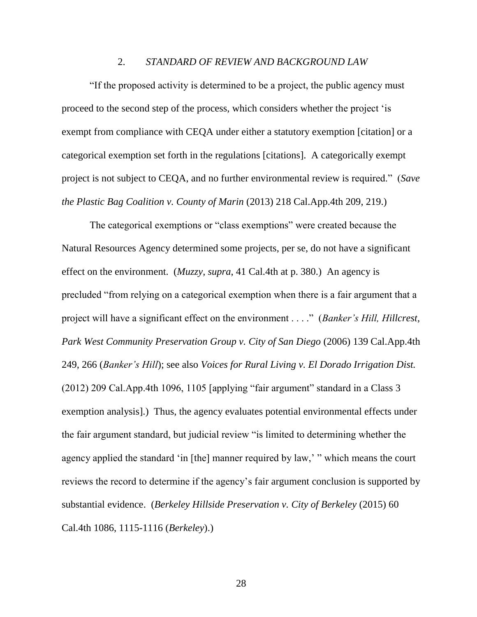## 2. *STANDARD OF REVIEW AND BACKGROUND LAW*

"If the proposed activity is determined to be a project, the public agency must proceed to the second step of the process, which considers whether the project 'is exempt from compliance with CEQA under either a statutory exemption [citation] or a categorical exemption set forth in the regulations [citations]. A categorically exempt project is not subject to CEQA, and no further environmental review is required." (*Save the Plastic Bag Coalition v. County of Marin* (2013) 218 Cal.App.4th 209, 219.)

The categorical exemptions or "class exemptions" were created because the Natural Resources Agency determined some projects, per se, do not have a significant effect on the environment. (*Muzzy*, *supra*, 41 Cal.4th at p. 380.) An agency is precluded "from relying on a categorical exemption when there is a fair argument that a project will have a significant effect on the environment . . . ." (*Banker's Hill, Hillcrest, Park West Community Preservation Group v. City of San Diego* (2006) 139 Cal.App.4th 249, 266 (*Banker's Hill*); see also *Voices for Rural Living v. El Dorado Irrigation Dist.* (2012) 209 Cal.App.4th 1096, 1105 [applying "fair argument" standard in a Class 3 exemption analysis].) Thus, the agency evaluates potential environmental effects under the fair argument standard, but judicial review "is limited to determining whether the agency applied the standard 'in [the] manner required by law,' " which means the court reviews the record to determine if the agency's fair argument conclusion is supported by substantial evidence. (*Berkeley Hillside Preservation v. City of Berkeley* (2015) 60 Cal.4th 1086, 1115-1116 (*Berkeley*).)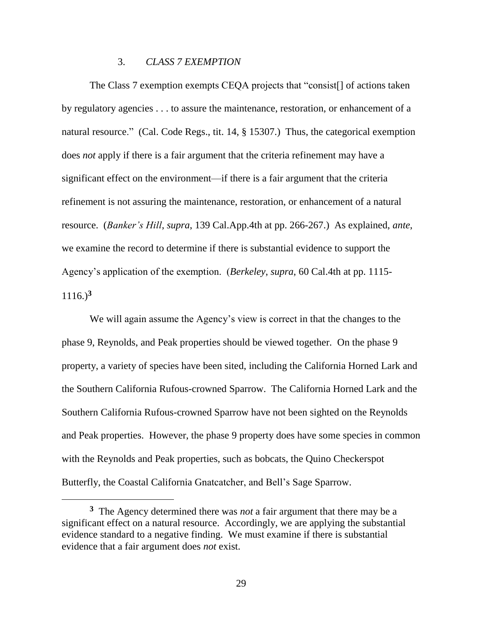# 3. *CLASS 7 EXEMPTION*

The Class 7 exemption exempts CEQA projects that "consist[] of actions taken by regulatory agencies . . . to assure the maintenance, restoration, or enhancement of a natural resource." (Cal. Code Regs., tit. 14, § 15307.) Thus, the categorical exemption does *not* apply if there is a fair argument that the criteria refinement may have a significant effect on the environment—if there is a fair argument that the criteria refinement is not assuring the maintenance, restoration, or enhancement of a natural resource. (*Banker's Hill*, *supra*, 139 Cal.App.4th at pp. 266-267.) As explained, *ante*, we examine the record to determine if there is substantial evidence to support the Agency's application of the exemption. (*Berkeley*, *supra*, 60 Cal.4th at pp. 1115- 1116.)**<sup>3</sup>**

We will again assume the Agency's view is correct in that the changes to the phase 9, Reynolds, and Peak properties should be viewed together. On the phase 9 property, a variety of species have been sited, including the California Horned Lark and the Southern California Rufous-crowned Sparrow. The California Horned Lark and the Southern California Rufous-crowned Sparrow have not been sighted on the Reynolds and Peak properties. However, the phase 9 property does have some species in common with the Reynolds and Peak properties, such as bobcats, the Quino Checkerspot Butterfly, the Coastal California Gnatcatcher, and Bell's Sage Sparrow.

**<sup>3</sup>** The Agency determined there was *not* a fair argument that there may be a significant effect on a natural resource. Accordingly, we are applying the substantial evidence standard to a negative finding. We must examine if there is substantial evidence that a fair argument does *not* exist.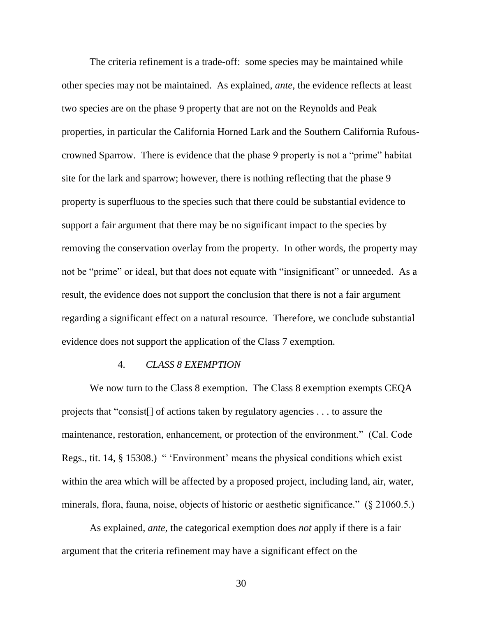The criteria refinement is a trade-off: some species may be maintained while other species may not be maintained. As explained, *ante*, the evidence reflects at least two species are on the phase 9 property that are not on the Reynolds and Peak properties, in particular the California Horned Lark and the Southern California Rufouscrowned Sparrow. There is evidence that the phase 9 property is not a "prime" habitat site for the lark and sparrow; however, there is nothing reflecting that the phase 9 property is superfluous to the species such that there could be substantial evidence to support a fair argument that there may be no significant impact to the species by removing the conservation overlay from the property. In other words, the property may not be "prime" or ideal, but that does not equate with "insignificant" or unneeded. As a result, the evidence does not support the conclusion that there is not a fair argument regarding a significant effect on a natural resource. Therefore, we conclude substantial evidence does not support the application of the Class 7 exemption.

# 4. *CLASS 8 EXEMPTION*

We now turn to the Class 8 exemption. The Class 8 exemption exempts CEQA projects that "consist[] of actions taken by regulatory agencies . . . to assure the maintenance, restoration, enhancement, or protection of the environment." (Cal. Code Regs., tit. 14, § 15308.) " 'Environment' means the physical conditions which exist within the area which will be affected by a proposed project, including land, air, water, minerals, flora, fauna, noise, objects of historic or aesthetic significance." (§ 21060.5.)

As explained, *ante*, the categorical exemption does *not* apply if there is a fair argument that the criteria refinement may have a significant effect on the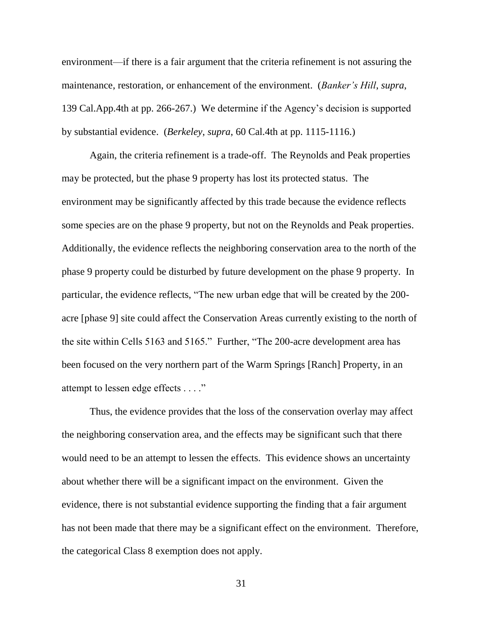environment—if there is a fair argument that the criteria refinement is not assuring the maintenance, restoration, or enhancement of the environment. (*Banker's Hill*, *supra*, 139 Cal.App.4th at pp. 266-267.) We determine if the Agency's decision is supported by substantial evidence. (*Berkeley*, *supra*, 60 Cal.4th at pp. 1115-1116.)

Again, the criteria refinement is a trade-off. The Reynolds and Peak properties may be protected, but the phase 9 property has lost its protected status. The environment may be significantly affected by this trade because the evidence reflects some species are on the phase 9 property, but not on the Reynolds and Peak properties. Additionally, the evidence reflects the neighboring conservation area to the north of the phase 9 property could be disturbed by future development on the phase 9 property. In particular, the evidence reflects, "The new urban edge that will be created by the 200 acre [phase 9] site could affect the Conservation Areas currently existing to the north of the site within Cells 5163 and 5165." Further, "The 200-acre development area has been focused on the very northern part of the Warm Springs [Ranch] Property, in an attempt to lessen edge effects . . . ."

Thus, the evidence provides that the loss of the conservation overlay may affect the neighboring conservation area, and the effects may be significant such that there would need to be an attempt to lessen the effects. This evidence shows an uncertainty about whether there will be a significant impact on the environment. Given the evidence, there is not substantial evidence supporting the finding that a fair argument has not been made that there may be a significant effect on the environment. Therefore, the categorical Class 8 exemption does not apply.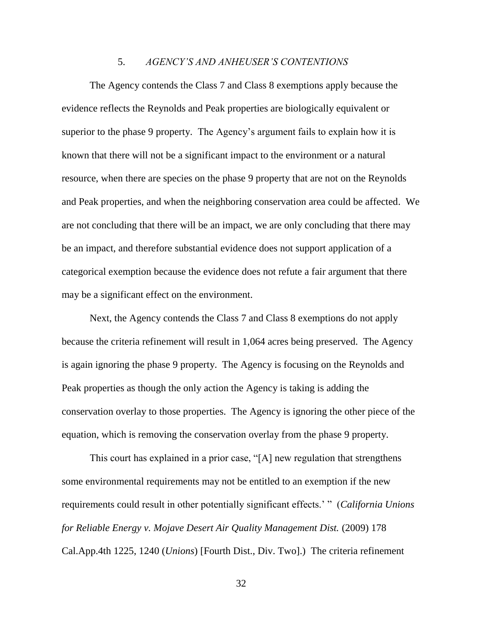#### 5. *AGENCY'S AND ANHEUSER'S CONTENTIONS*

The Agency contends the Class 7 and Class 8 exemptions apply because the evidence reflects the Reynolds and Peak properties are biologically equivalent or superior to the phase 9 property. The Agency's argument fails to explain how it is known that there will not be a significant impact to the environment or a natural resource, when there are species on the phase 9 property that are not on the Reynolds and Peak properties, and when the neighboring conservation area could be affected. We are not concluding that there will be an impact, we are only concluding that there may be an impact, and therefore substantial evidence does not support application of a categorical exemption because the evidence does not refute a fair argument that there may be a significant effect on the environment.

Next, the Agency contends the Class 7 and Class 8 exemptions do not apply because the criteria refinement will result in 1,064 acres being preserved. The Agency is again ignoring the phase 9 property. The Agency is focusing on the Reynolds and Peak properties as though the only action the Agency is taking is adding the conservation overlay to those properties. The Agency is ignoring the other piece of the equation, which is removing the conservation overlay from the phase 9 property.

This court has explained in a prior case, "[A] new regulation that strengthens some environmental requirements may not be entitled to an exemption if the new requirements could result in other potentially significant effects.' " (*California Unions for Reliable Energy v. Mojave Desert Air Quality Management Dist.* (2009) 178 Cal.App.4th 1225, 1240 (*Unions*) [Fourth Dist., Div. Two].) The criteria refinement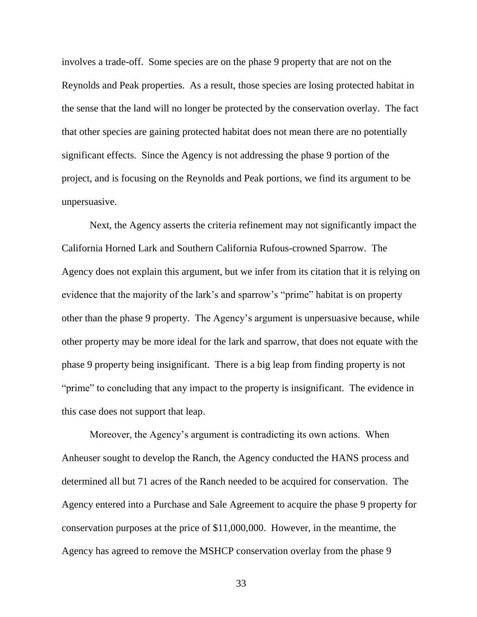involves a trade-off. Some species are on the phase 9 property that are not on the Reynolds and Peak properties. As a result, those species are losing protected habitat in the sense that the land will no longer be protected by the conservation overlay. The fact that other species are gaining protected habitat does not mean there are no potentially significant effects. Since the Agency is not addressing the phase 9 portion of the project, and is focusing on the Reynolds and Peak portions, we find its argument to be unpersuasive.

Next, the Agency asserts the criteria refinement may not significantly impact the California Horned Lark and Southern California Rufous-crowned Sparrow. The Agency does not explain this argument, but we infer from its citation that it is relying on evidence that the majority of the lark's and sparrow's "prime" habitat is on property other than the phase 9 property. The Agency's argument is unpersuasive because, while other property may be more ideal for the lark and sparrow, that does not equate with the phase 9 property being insignificant. There is a big leap from finding property is not "prime" to concluding that any impact to the property is insignificant. The evidence in this case does not support that leap.

Moreover, the Agency's argument is contradicting its own actions. When Anheuser sought to develop the Ranch, the Agency conducted the HANS process and determined all but 71 acres of the Ranch needed to be acquired for conservation. The Agency entered into a Purchase and Sale Agreement to acquire the phase 9 property for conservation purposes at the price of \$11,000,000. However, in the meantime, the Agency has agreed to remove the MSHCP conservation overlay from the phase 9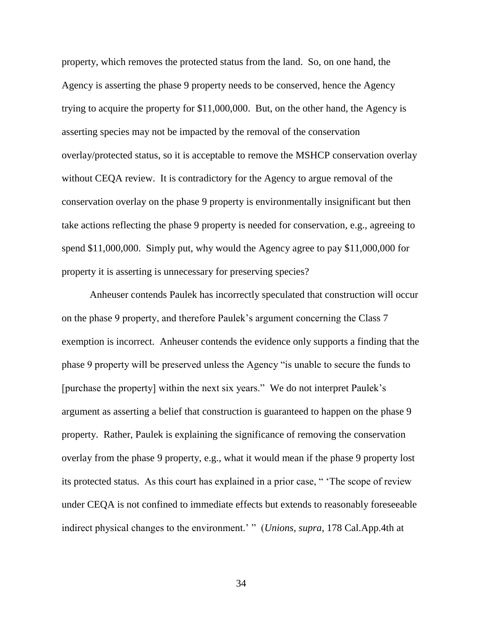property, which removes the protected status from the land. So, on one hand, the Agency is asserting the phase 9 property needs to be conserved, hence the Agency trying to acquire the property for \$11,000,000. But, on the other hand, the Agency is asserting species may not be impacted by the removal of the conservation overlay/protected status, so it is acceptable to remove the MSHCP conservation overlay without CEQA review. It is contradictory for the Agency to argue removal of the conservation overlay on the phase 9 property is environmentally insignificant but then take actions reflecting the phase 9 property is needed for conservation, e.g., agreeing to spend \$11,000,000. Simply put, why would the Agency agree to pay \$11,000,000 for property it is asserting is unnecessary for preserving species?

Anheuser contends Paulek has incorrectly speculated that construction will occur on the phase 9 property, and therefore Paulek's argument concerning the Class 7 exemption is incorrect. Anheuser contends the evidence only supports a finding that the phase 9 property will be preserved unless the Agency "is unable to secure the funds to [purchase the property] within the next six years." We do not interpret Paulek's argument as asserting a belief that construction is guaranteed to happen on the phase 9 property. Rather, Paulek is explaining the significance of removing the conservation overlay from the phase 9 property, e.g., what it would mean if the phase 9 property lost its protected status. As this court has explained in a prior case, " 'The scope of review under CEQA is not confined to immediate effects but extends to reasonably foreseeable indirect physical changes to the environment.' " (*Unions*, *supra*, 178 Cal.App.4th at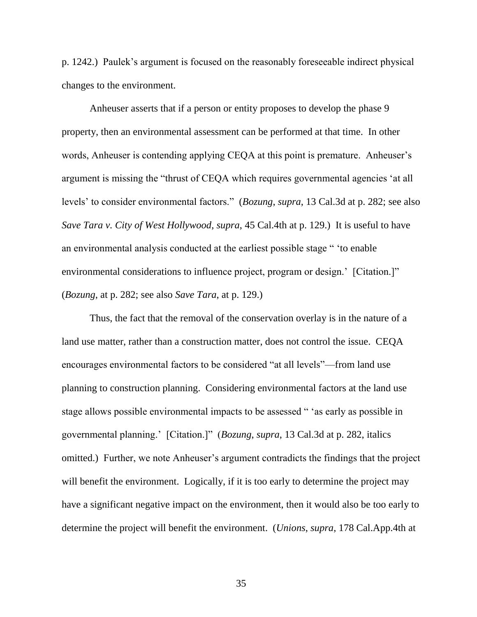p. 1242.) Paulek's argument is focused on the reasonably foreseeable indirect physical changes to the environment.

Anheuser asserts that if a person or entity proposes to develop the phase 9 property, then an environmental assessment can be performed at that time. In other words, Anheuser is contending applying CEQA at this point is premature. Anheuser's argument is missing the "thrust of CEQA which requires governmental agencies 'at all levels' to consider environmental factors." (*Bozung*, *supra*, 13 Cal.3d at p. 282; see also *Save Tara v. City of West Hollywood*, *supra*, 45 Cal.4th at p. 129.) It is useful to have an environmental analysis conducted at the earliest possible stage " 'to enable environmental considerations to influence project, program or design.' [Citation.]" (*Bozung*, at p. 282; see also *Save Tara*, at p. 129.)

Thus, the fact that the removal of the conservation overlay is in the nature of a land use matter, rather than a construction matter, does not control the issue. CEQA encourages environmental factors to be considered "at all levels"—from land use planning to construction planning. Considering environmental factors at the land use stage allows possible environmental impacts to be assessed " 'as early as possible in governmental planning.' [Citation.]" (*Bozung*, *supra*, 13 Cal.3d at p. 282, italics omitted.) Further, we note Anheuser's argument contradicts the findings that the project will benefit the environment. Logically, if it is too early to determine the project may have a significant negative impact on the environment, then it would also be too early to determine the project will benefit the environment. (*Unions*, *supra*, 178 Cal.App.4th at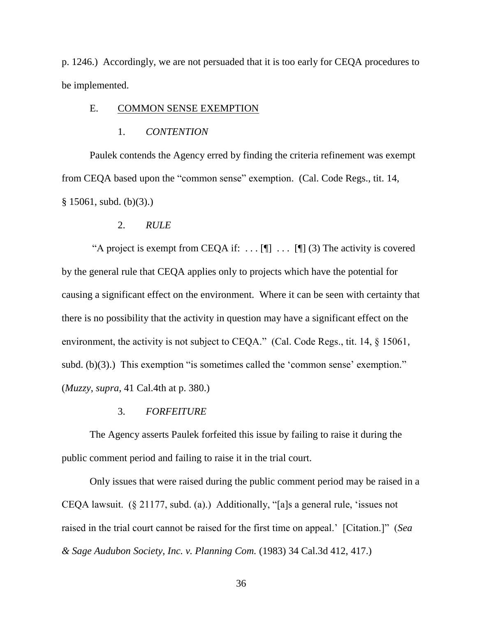p. 1246.) Accordingly, we are not persuaded that it is too early for CEQA procedures to be implemented.

# E. COMMON SENSE EXEMPTION

#### 1. *CONTENTION*

Paulek contends the Agency erred by finding the criteria refinement was exempt from CEQA based upon the "common sense" exemption. (Cal. Code Regs., tit. 14,  $§ 15061$ , subd. (b)(3).)

#### 2. *RULE*

"A project is exempt from CEQA if:  $\dots$  [[]  $\dots$  [[] (3) The activity is covered by the general rule that CEQA applies only to projects which have the potential for causing a significant effect on the environment. Where it can be seen with certainty that there is no possibility that the activity in question may have a significant effect on the environment, the activity is not subject to CEQA." (Cal. Code Regs., tit. 14, § 15061, subd. (b)(3).) This exemption "is sometimes called the 'common sense' exemption." (*Muzzy*, *supra*, 41 Cal.4th at p. 380.)

# 3. *FORFEITURE*

The Agency asserts Paulek forfeited this issue by failing to raise it during the public comment period and failing to raise it in the trial court.

Only issues that were raised during the public comment period may be raised in a CEQA lawsuit. (§ 21177, subd. (a).) Additionally, "[a]s a general rule, 'issues not raised in the trial court cannot be raised for the first time on appeal.' [Citation.]" (*Sea & Sage Audubon Society, Inc. v. Planning Com.* (1983) 34 Cal.3d 412, 417.)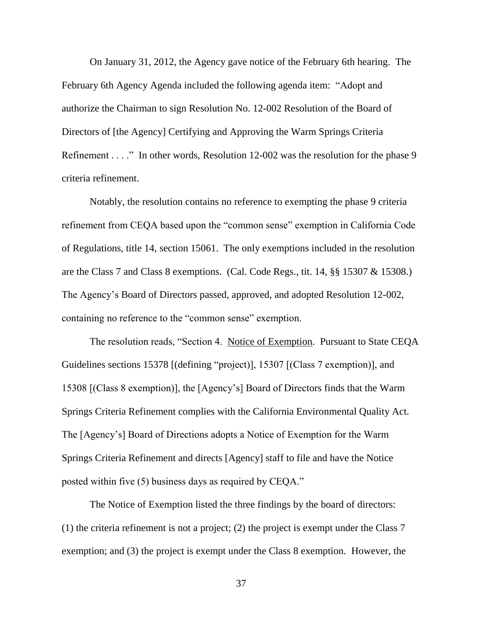On January 31, 2012, the Agency gave notice of the February 6th hearing. The February 6th Agency Agenda included the following agenda item: "Adopt and authorize the Chairman to sign Resolution No. 12-002 Resolution of the Board of Directors of [the Agency] Certifying and Approving the Warm Springs Criteria Refinement . . . ." In other words, Resolution 12-002 was the resolution for the phase 9 criteria refinement.

Notably, the resolution contains no reference to exempting the phase 9 criteria refinement from CEQA based upon the "common sense" exemption in California Code of Regulations, title 14, section 15061. The only exemptions included in the resolution are the Class 7 and Class 8 exemptions. (Cal. Code Regs., tit. 14, §§ 15307 & 15308.) The Agency's Board of Directors passed, approved, and adopted Resolution 12-002, containing no reference to the "common sense" exemption.

The resolution reads, "Section 4. Notice of Exemption. Pursuant to State CEQA Guidelines sections 15378 [(defining "project)], 15307 [(Class 7 exemption)], and 15308 [(Class 8 exemption)], the [Agency's] Board of Directors finds that the Warm Springs Criteria Refinement complies with the California Environmental Quality Act. The [Agency's] Board of Directions adopts a Notice of Exemption for the Warm Springs Criteria Refinement and directs [Agency] staff to file and have the Notice posted within five (5) business days as required by CEQA."

The Notice of Exemption listed the three findings by the board of directors: (1) the criteria refinement is not a project; (2) the project is exempt under the Class 7 exemption; and (3) the project is exempt under the Class 8 exemption. However, the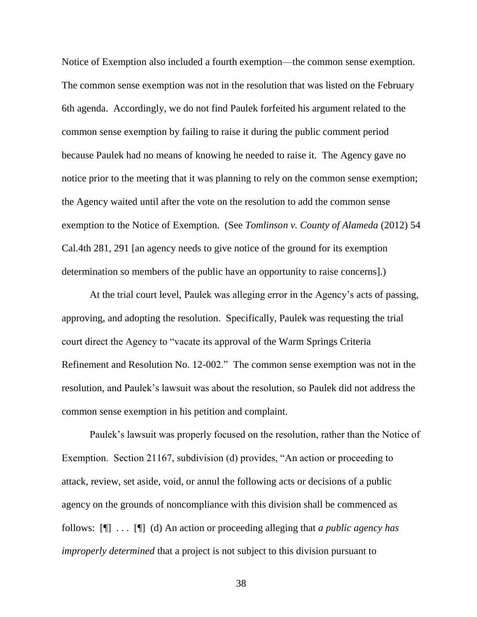Notice of Exemption also included a fourth exemption—the common sense exemption. The common sense exemption was not in the resolution that was listed on the February 6th agenda. Accordingly, we do not find Paulek forfeited his argument related to the common sense exemption by failing to raise it during the public comment period because Paulek had no means of knowing he needed to raise it. The Agency gave no notice prior to the meeting that it was planning to rely on the common sense exemption; the Agency waited until after the vote on the resolution to add the common sense exemption to the Notice of Exemption. (See *Tomlinson v. County of Alameda* (2012) 54 Cal.4th 281, 291 [an agency needs to give notice of the ground for its exemption determination so members of the public have an opportunity to raise concerns].)

At the trial court level, Paulek was alleging error in the Agency's acts of passing, approving, and adopting the resolution. Specifically, Paulek was requesting the trial court direct the Agency to "vacate its approval of the Warm Springs Criteria Refinement and Resolution No. 12-002." The common sense exemption was not in the resolution, and Paulek's lawsuit was about the resolution, so Paulek did not address the common sense exemption in his petition and complaint.

Paulek's lawsuit was properly focused on the resolution, rather than the Notice of Exemption. Section 21167, subdivision (d) provides, "An action or proceeding to attack, review, set aside, void, or annul the following acts or decisions of a public agency on the grounds of noncompliance with this division shall be commenced as follows: [¶] . . . [¶] (d) An action or proceeding alleging that *a public agency has improperly determined* that a project is not subject to this division pursuant to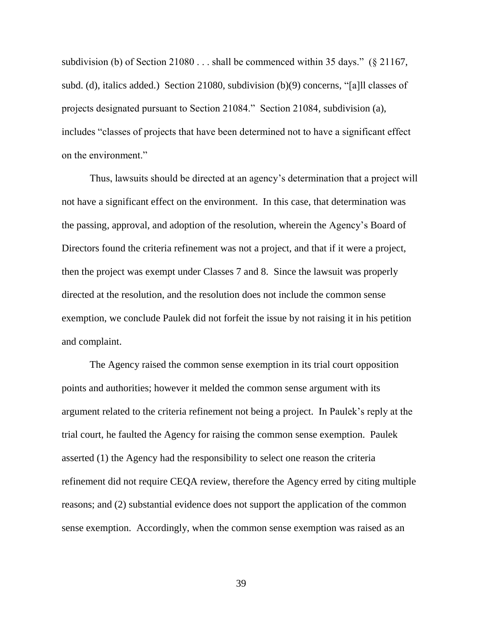subdivision (b) of Section 21080 . . . shall be commenced within 35 days." (§ 21167, subd. (d), italics added.) Section 21080, subdivision (b)(9) concerns, "[a]ll classes of projects designated pursuant to Section 21084." Section 21084, subdivision (a), includes "classes of projects that have been determined not to have a significant effect on the environment."

Thus, lawsuits should be directed at an agency's determination that a project will not have a significant effect on the environment. In this case, that determination was the passing, approval, and adoption of the resolution, wherein the Agency's Board of Directors found the criteria refinement was not a project, and that if it were a project, then the project was exempt under Classes 7 and 8. Since the lawsuit was properly directed at the resolution, and the resolution does not include the common sense exemption, we conclude Paulek did not forfeit the issue by not raising it in his petition and complaint.

The Agency raised the common sense exemption in its trial court opposition points and authorities; however it melded the common sense argument with its argument related to the criteria refinement not being a project. In Paulek's reply at the trial court, he faulted the Agency for raising the common sense exemption. Paulek asserted (1) the Agency had the responsibility to select one reason the criteria refinement did not require CEQA review, therefore the Agency erred by citing multiple reasons; and (2) substantial evidence does not support the application of the common sense exemption. Accordingly, when the common sense exemption was raised as an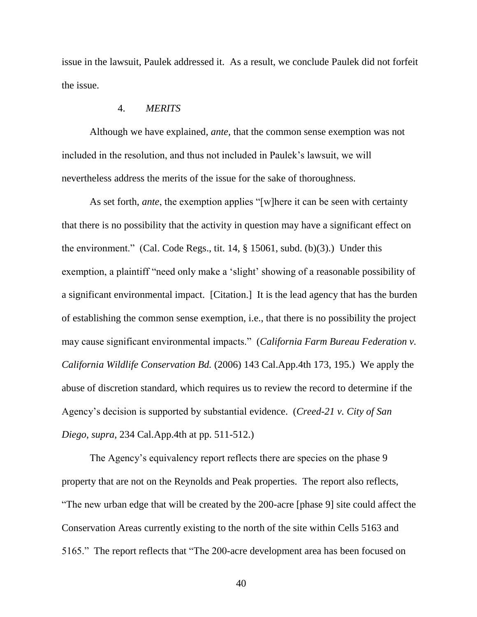issue in the lawsuit, Paulek addressed it. As a result, we conclude Paulek did not forfeit the issue.

# 4. *MERITS*

Although we have explained, *ante*, that the common sense exemption was not included in the resolution, and thus not included in Paulek's lawsuit, we will nevertheless address the merits of the issue for the sake of thoroughness.

As set forth, *ante*, the exemption applies "[w]here it can be seen with certainty that there is no possibility that the activity in question may have a significant effect on the environment." (Cal. Code Regs., tit. 14, § 15061, subd. (b)(3).) Under this exemption, a plaintiff "need only make a 'slight' showing of a reasonable possibility of a significant environmental impact. [Citation.] It is the lead agency that has the burden of establishing the common sense exemption, i.e., that there is no possibility the project may cause significant environmental impacts." (*California Farm Bureau Federation v. California Wildlife Conservation Bd.* (2006) 143 Cal.App.4th 173, 195.) We apply the abuse of discretion standard, which requires us to review the record to determine if the Agency's decision is supported by substantial evidence. (*Creed-21 v. City of San Diego*, *supra*, 234 Cal.App.4th at pp. 511-512.)

The Agency's equivalency report reflects there are species on the phase 9 property that are not on the Reynolds and Peak properties. The report also reflects, "The new urban edge that will be created by the 200-acre [phase 9] site could affect the Conservation Areas currently existing to the north of the site within Cells 5163 and 5165." The report reflects that "The 200-acre development area has been focused on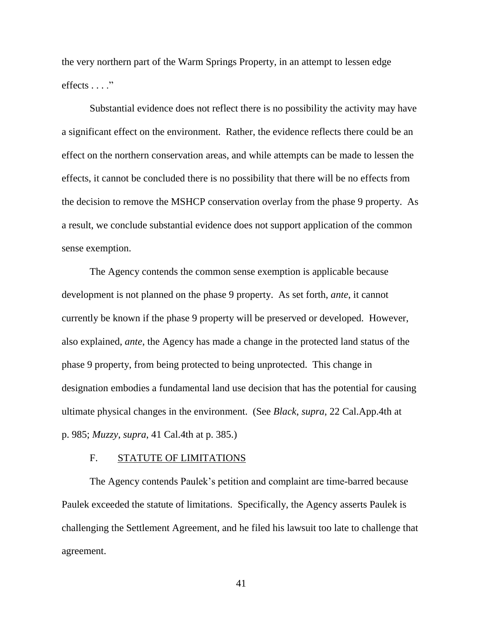the very northern part of the Warm Springs Property, in an attempt to lessen edge effects . . . ."

Substantial evidence does not reflect there is no possibility the activity may have a significant effect on the environment. Rather, the evidence reflects there could be an effect on the northern conservation areas, and while attempts can be made to lessen the effects, it cannot be concluded there is no possibility that there will be no effects from the decision to remove the MSHCP conservation overlay from the phase 9 property. As a result, we conclude substantial evidence does not support application of the common sense exemption.

The Agency contends the common sense exemption is applicable because development is not planned on the phase 9 property. As set forth, *ante*, it cannot currently be known if the phase 9 property will be preserved or developed. However, also explained, *ante*, the Agency has made a change in the protected land status of the phase 9 property, from being protected to being unprotected. This change in designation embodies a fundamental land use decision that has the potential for causing ultimate physical changes in the environment. (See *Black*, *supra*, 22 Cal.App.4th at p. 985; *Muzzy*, *supra*, 41 Cal.4th at p. 385.)

### F. STATUTE OF LIMITATIONS

The Agency contends Paulek's petition and complaint are time-barred because Paulek exceeded the statute of limitations. Specifically, the Agency asserts Paulek is challenging the Settlement Agreement, and he filed his lawsuit too late to challenge that agreement.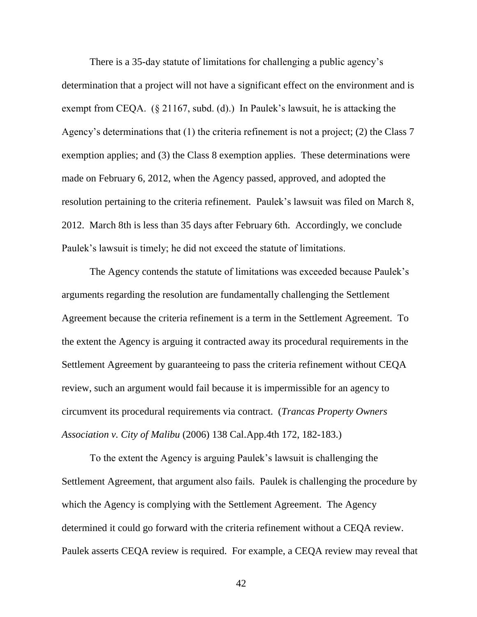There is a 35-day statute of limitations for challenging a public agency's determination that a project will not have a significant effect on the environment and is exempt from CEQA. (§ 21167, subd. (d).) In Paulek's lawsuit, he is attacking the Agency's determinations that (1) the criteria refinement is not a project; (2) the Class 7 exemption applies; and (3) the Class 8 exemption applies. These determinations were made on February 6, 2012, when the Agency passed, approved, and adopted the resolution pertaining to the criteria refinement. Paulek's lawsuit was filed on March 8, 2012. March 8th is less than 35 days after February 6th. Accordingly, we conclude Paulek's lawsuit is timely; he did not exceed the statute of limitations.

The Agency contends the statute of limitations was exceeded because Paulek's arguments regarding the resolution are fundamentally challenging the Settlement Agreement because the criteria refinement is a term in the Settlement Agreement. To the extent the Agency is arguing it contracted away its procedural requirements in the Settlement Agreement by guaranteeing to pass the criteria refinement without CEQA review, such an argument would fail because it is impermissible for an agency to circumvent its procedural requirements via contract. (*Trancas Property Owners Association v. City of Malibu* (2006) 138 Cal.App.4th 172, 182-183.)

To the extent the Agency is arguing Paulek's lawsuit is challenging the Settlement Agreement, that argument also fails. Paulek is challenging the procedure by which the Agency is complying with the Settlement Agreement. The Agency determined it could go forward with the criteria refinement without a CEQA review. Paulek asserts CEQA review is required. For example, a CEQA review may reveal that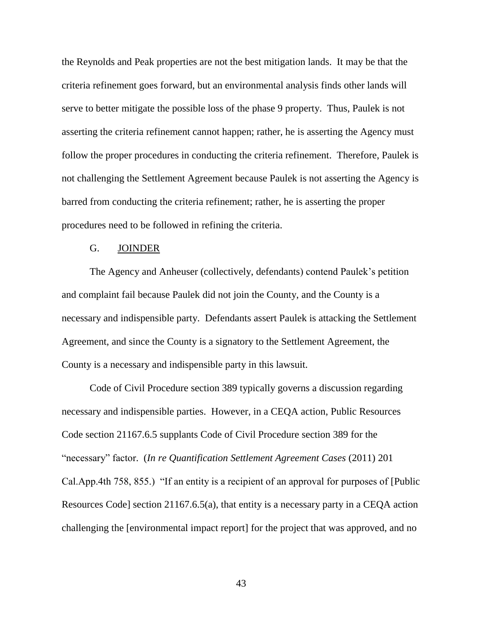the Reynolds and Peak properties are not the best mitigation lands. It may be that the criteria refinement goes forward, but an environmental analysis finds other lands will serve to better mitigate the possible loss of the phase 9 property. Thus, Paulek is not asserting the criteria refinement cannot happen; rather, he is asserting the Agency must follow the proper procedures in conducting the criteria refinement. Therefore, Paulek is not challenging the Settlement Agreement because Paulek is not asserting the Agency is barred from conducting the criteria refinement; rather, he is asserting the proper procedures need to be followed in refining the criteria.

## G. JOINDER

The Agency and Anheuser (collectively, defendants) contend Paulek's petition and complaint fail because Paulek did not join the County, and the County is a necessary and indispensible party. Defendants assert Paulek is attacking the Settlement Agreement, and since the County is a signatory to the Settlement Agreement, the County is a necessary and indispensible party in this lawsuit.

Code of Civil Procedure section 389 typically governs a discussion regarding necessary and indispensible parties. However, in a CEQA action, Public Resources Code section 21167.6.5 supplants Code of Civil Procedure section 389 for the "necessary" factor. (*In re Quantification Settlement Agreement Cases* (2011) 201 Cal.App.4th 758, 855.) "If an entity is a recipient of an approval for purposes of [Public Resources Code] section 21167.6.5(a), that entity is a necessary party in a CEQA action challenging the [environmental impact report] for the project that was approved, and no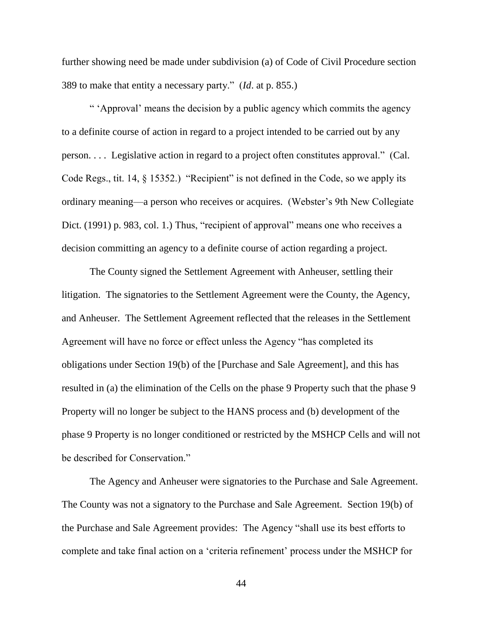further showing need be made under subdivision (a) of Code of Civil Procedure section 389 to make that entity a necessary party." (*Id*. at p. 855.)

" 'Approval' means the decision by a public agency which commits the agency to a definite course of action in regard to a project intended to be carried out by any person. . . . Legislative action in regard to a project often constitutes approval." (Cal. Code Regs., tit. 14, § 15352.) "Recipient" is not defined in the Code, so we apply its ordinary meaning—a person who receives or acquires. (Webster's 9th New Collegiate Dict. (1991) p. 983, col. 1.) Thus, "recipient of approval" means one who receives a decision committing an agency to a definite course of action regarding a project.

The County signed the Settlement Agreement with Anheuser, settling their litigation. The signatories to the Settlement Agreement were the County, the Agency, and Anheuser. The Settlement Agreement reflected that the releases in the Settlement Agreement will have no force or effect unless the Agency "has completed its obligations under Section 19(b) of the [Purchase and Sale Agreement], and this has resulted in (a) the elimination of the Cells on the phase 9 Property such that the phase 9 Property will no longer be subject to the HANS process and (b) development of the phase 9 Property is no longer conditioned or restricted by the MSHCP Cells and will not be described for Conservation."

The Agency and Anheuser were signatories to the Purchase and Sale Agreement. The County was not a signatory to the Purchase and Sale Agreement. Section 19(b) of the Purchase and Sale Agreement provides: The Agency "shall use its best efforts to complete and take final action on a 'criteria refinement' process under the MSHCP for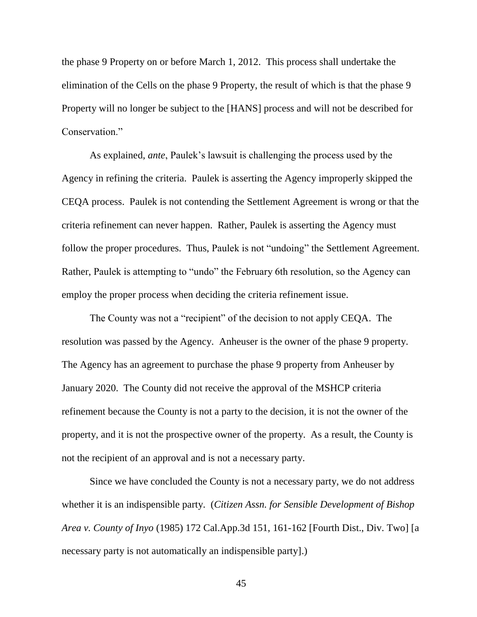the phase 9 Property on or before March 1, 2012. This process shall undertake the elimination of the Cells on the phase 9 Property, the result of which is that the phase 9 Property will no longer be subject to the [HANS] process and will not be described for Conservation."

As explained, *ante*, Paulek's lawsuit is challenging the process used by the Agency in refining the criteria. Paulek is asserting the Agency improperly skipped the CEQA process. Paulek is not contending the Settlement Agreement is wrong or that the criteria refinement can never happen. Rather, Paulek is asserting the Agency must follow the proper procedures. Thus, Paulek is not "undoing" the Settlement Agreement. Rather, Paulek is attempting to "undo" the February 6th resolution, so the Agency can employ the proper process when deciding the criteria refinement issue.

The County was not a "recipient" of the decision to not apply CEQA. The resolution was passed by the Agency. Anheuser is the owner of the phase 9 property. The Agency has an agreement to purchase the phase 9 property from Anheuser by January 2020. The County did not receive the approval of the MSHCP criteria refinement because the County is not a party to the decision, it is not the owner of the property, and it is not the prospective owner of the property. As a result, the County is not the recipient of an approval and is not a necessary party.

Since we have concluded the County is not a necessary party, we do not address whether it is an indispensible party. (*Citizen Assn. for Sensible Development of Bishop Area v. County of Inyo* (1985) 172 Cal.App.3d 151, 161-162 [Fourth Dist., Div. Two] [a necessary party is not automatically an indispensible party].)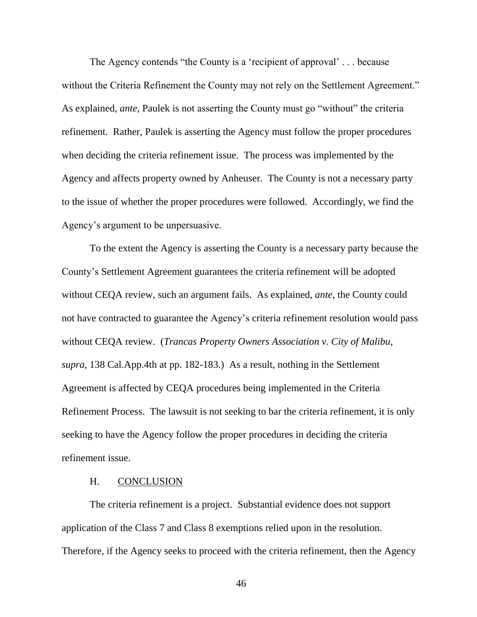The Agency contends "the County is a 'recipient of approval' . . . because without the Criteria Refinement the County may not rely on the Settlement Agreement." As explained, *ante*, Paulek is not asserting the County must go "without" the criteria refinement. Rather, Paulek is asserting the Agency must follow the proper procedures when deciding the criteria refinement issue. The process was implemented by the Agency and affects property owned by Anheuser. The County is not a necessary party to the issue of whether the proper procedures were followed. Accordingly, we find the Agency's argument to be unpersuasive.

To the extent the Agency is asserting the County is a necessary party because the County's Settlement Agreement guarantees the criteria refinement will be adopted without CEQA review, such an argument fails. As explained, *ante*, the County could not have contracted to guarantee the Agency's criteria refinement resolution would pass without CEQA review. (*Trancas Property Owners Association v. City of Malibu*, *supra*, 138 Cal.App.4th at pp. 182-183.) As a result, nothing in the Settlement Agreement is affected by CEQA procedures being implemented in the Criteria Refinement Process. The lawsuit is not seeking to bar the criteria refinement, it is only seeking to have the Agency follow the proper procedures in deciding the criteria refinement issue.

# H. CONCLUSION

The criteria refinement is a project. Substantial evidence does not support application of the Class 7 and Class 8 exemptions relied upon in the resolution. Therefore, if the Agency seeks to proceed with the criteria refinement, then the Agency